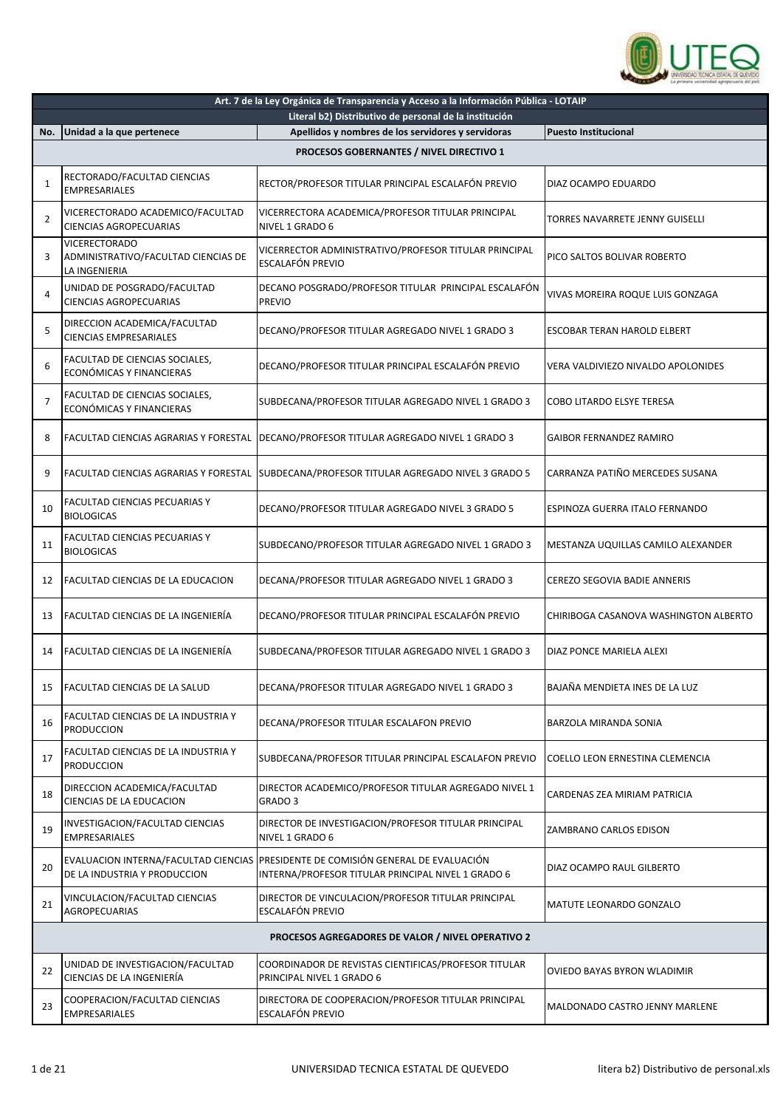

|                | Art. 7 de la Ley Orgánica de Transparencia y Acceso a la Información Pública - LOTAIP |                                                                                                                                         |                                       |  |
|----------------|---------------------------------------------------------------------------------------|-----------------------------------------------------------------------------------------------------------------------------------------|---------------------------------------|--|
| No.            | Unidad a la que pertenece                                                             | Literal b2) Distributivo de personal de la institución<br>Apellidos y nombres de los servidores y servidoras                            | <b>Puesto Institucional</b>           |  |
|                |                                                                                       |                                                                                                                                         |                                       |  |
|                |                                                                                       | PROCESOS GOBERNANTES / NIVEL DIRECTIVO 1                                                                                                |                                       |  |
| 1              | RECTORADO/FACULTAD CIENCIAS<br><b>EMPRESARIALES</b>                                   | RECTOR/PROFESOR TITULAR PRINCIPAL ESCALAFÓN PREVIO                                                                                      | DIAZ OCAMPO EDUARDO                   |  |
| $\overline{2}$ | VICERECTORADO ACADEMICO/FACULTAD<br><b>CIENCIAS AGROPECUARIAS</b>                     | VICERRECTORA ACADEMICA/PROFESOR TITULAR PRINCIPAL<br>NIVEL 1 GRADO 6                                                                    | TORRES NAVARRETE JENNY GUISELLI       |  |
| 3              | <b>VICERECTORADO</b><br>ADMINISTRATIVO/FACULTAD CIENCIAS DE<br>LA INGENIERIA          | VICERRECTOR ADMINISTRATIVO/PROFESOR TITULAR PRINCIPAL<br>ESCALAFÓN PREVIO                                                               | PICO SALTOS BOLIVAR ROBERTO           |  |
| 4              | UNIDAD DE POSGRADO/FACULTAD<br>CIENCIAS AGROPECUARIAS                                 | DECANO POSGRADO/PROFESOR TITULAR PRINCIPAL ESCALAFÓN<br><b>PREVIO</b>                                                                   | VIVAS MOREIRA ROQUE LUIS GONZAGA      |  |
| 5              | DIRECCION ACADEMICA/FACULTAD<br><b>CIENCIAS EMPRESARIALES</b>                         | DECANO/PROFESOR TITULAR AGREGADO NIVEL 1 GRADO 3                                                                                        | ESCOBAR TERAN HAROLD ELBERT           |  |
| 6              | FACULTAD DE CIENCIAS SOCIALES,<br>ECONÓMICAS Y FINANCIERAS                            | DECANO/PROFESOR TITULAR PRINCIPAL ESCALAFÓN PREVIO                                                                                      | VERA VALDIVIEZO NIVALDO APOLONIDES    |  |
| $\overline{7}$ | FACULTAD DE CIENCIAS SOCIALES,<br>ECONÓMICAS Y FINANCIERAS                            | SUBDECANA/PROFESOR TITULAR AGREGADO NIVEL 1 GRADO 3                                                                                     | COBO LITARDO ELSYE TERESA             |  |
| 8              | FACULTAD CIENCIAS AGRARIAS Y FORESTAL                                                 | DECANO/PROFESOR TITULAR AGREGADO NIVEL 1 GRADO 3                                                                                        | <b>GAIBOR FERNANDEZ RAMIRO</b>        |  |
| 9              |                                                                                       | FACULTAD CIENCIAS AGRARIAS Y FORESTAL SUBDECANA/PROFESOR TITULAR AGREGADO NIVEL 3 GRADO 5                                               | CARRANZA PATIÑO MERCEDES SUSANA       |  |
| 10             | FACULTAD CIENCIAS PECUARIAS Y<br><b>BIOLOGICAS</b>                                    | DECANO/PROFESOR TITULAR AGREGADO NIVEL 3 GRADO 5                                                                                        | ESPINOZA GUERRA ITALO FERNANDO        |  |
| 11             | <b>FACULTAD CIENCIAS PECUARIAS Y</b><br><b>BIOLOGICAS</b>                             | SUBDECANO/PROFESOR TITULAR AGREGADO NIVEL 1 GRADO 3                                                                                     | MESTANZA UQUILLAS CAMILO ALEXANDER    |  |
| 12             | FACULTAD CIENCIAS DE LA EDUCACION                                                     | DECANA/PROFESOR TITULAR AGREGADO NIVEL 1 GRADO 3                                                                                        | CEREZO SEGOVIA BADIE ANNERIS          |  |
| 13             | FACULTAD CIENCIAS DE LA INGENIERÍA                                                    | DECANO/PROFESOR TITULAR PRINCIPAL ESCALAFÓN PREVIO                                                                                      | CHIRIBOGA CASANOVA WASHINGTON ALBERTO |  |
| 14             | <b>FACULTAD CIENCIAS DE LA INGENIERÍA</b>                                             | SUBDECANA/PROFESOR TITULAR AGREGADO NIVEL 1 GRADO 3                                                                                     | DIAZ PONCE MARIELA ALEXI              |  |
| 15             | FACULTAD CIENCIAS DE LA SALUD                                                         | DECANA/PROFESOR TITULAR AGREGADO NIVEL 1 GRADO 3                                                                                        | BAJAÑA MENDIETA INES DE LA LUZ        |  |
| 16             | FACULTAD CIENCIAS DE LA INDUSTRIA Y<br><b>PRODUCCION</b>                              | DECANA/PROFESOR TITULAR ESCALAFON PREVIO                                                                                                | <b>BARZOLA MIRANDA SONIA</b>          |  |
| 17             | FACULTAD CIENCIAS DE LA INDUSTRIA Y<br><b>PRODUCCION</b>                              | SUBDECANA/PROFESOR TITULAR PRINCIPAL ESCALAFON PREVIO                                                                                   | COELLO LEON ERNESTINA CLEMENCIA       |  |
| 18             | DIRECCION ACADEMICA/FACULTAD<br>CIENCIAS DE LA EDUCACION                              | DIRECTOR ACADEMICO/PROFESOR TITULAR AGREGADO NIVEL 1<br>GRADO 3                                                                         | CARDENAS ZEA MIRIAM PATRICIA          |  |
| 19             | INVESTIGACION/FACULTAD CIENCIAS<br><b>EMPRESARIALES</b>                               | DIRECTOR DE INVESTIGACION/PROFESOR TITULAR PRINCIPAL<br>NIVEL 1 GRADO 6                                                                 | ZAMBRANO CARLOS EDISON                |  |
| 20             | DE LA INDUSTRIA Y PRODUCCION                                                          | EVALUACION INTERNA/FACULTAD CIENCIAS PRESIDENTE DE COMISIÓN GENERAL DE EVALUACIÓN<br>INTERNA/PROFESOR TITULAR PRINCIPAL NIVEL 1 GRADO 6 | DIAZ OCAMPO RAUL GILBERTO             |  |
| 21             | VINCULACION/FACULTAD CIENCIAS<br><b>AGROPECUARIAS</b>                                 | DIRECTOR DE VINCULACION/PROFESOR TITULAR PRINCIPAL<br>ESCALAFÓN PREVIO                                                                  | MATUTE LEONARDO GONZALO               |  |
|                |                                                                                       | PROCESOS AGREGADORES DE VALOR / NIVEL OPERATIVO 2                                                                                       |                                       |  |
| 22             | UNIDAD DE INVESTIGACION/FACULTAD<br>CIENCIAS DE LA INGENIERÍA                         | COORDINADOR DE REVISTAS CIENTIFICAS/PROFESOR TITULAR<br>PRINCIPAL NIVEL 1 GRADO 6                                                       | OVIEDO BAYAS BYRON WLADIMIR           |  |
| 23             | COOPERACION/FACULTAD CIENCIAS<br><b>EMPRESARIALES</b>                                 | DIRECTORA DE COOPERACION/PROFESOR TITULAR PRINCIPAL<br>ESCALAFÓN PREVIO                                                                 | MALDONADO CASTRO JENNY MARLENE        |  |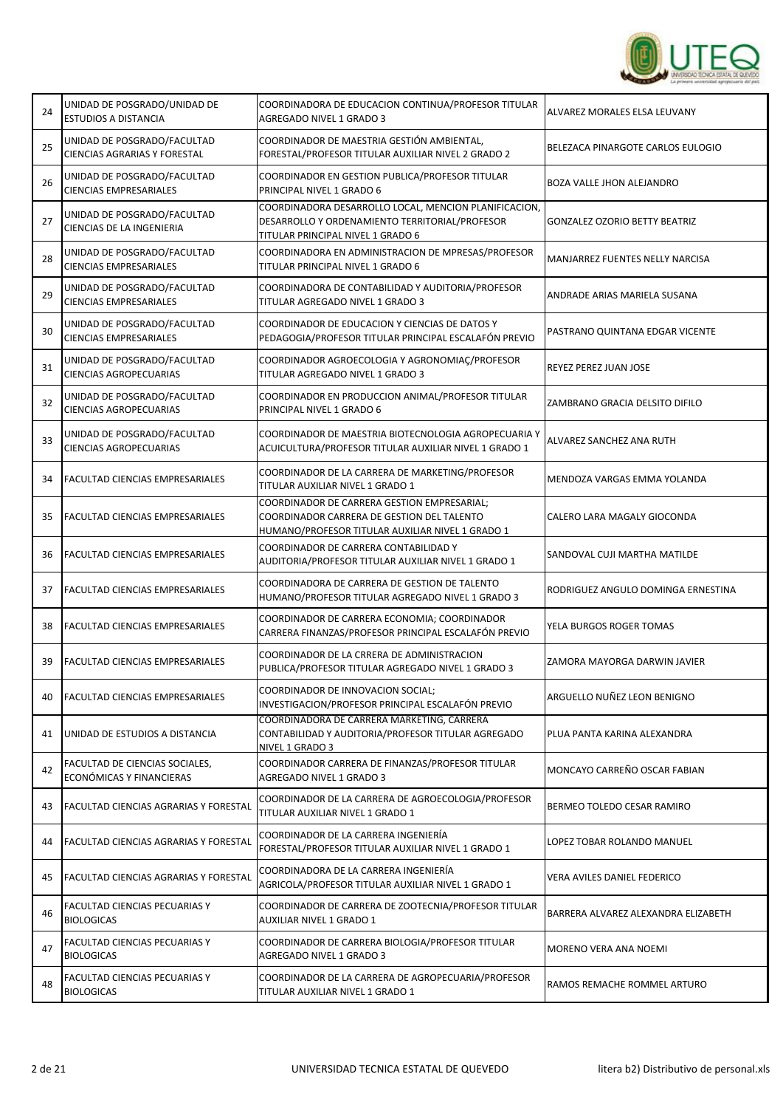

| 24 | UNIDAD DE POSGRADO/UNIDAD DE<br><b>ESTUDIOS A DISTANCIA</b>        | COORDINADORA DE EDUCACION CONTINUA/PROFESOR TITULAR<br>AGREGADO NIVEL 1 GRADO 3                                                               | ALVAREZ MORALES ELSA LEUVANY        |
|----|--------------------------------------------------------------------|-----------------------------------------------------------------------------------------------------------------------------------------------|-------------------------------------|
| 25 | UNIDAD DE POSGRADO/FACULTAD<br><b>CIENCIAS AGRARIAS Y FORESTAL</b> | COORDINADOR DE MAESTRIA GESTIÓN AMBIENTAL,<br>FORESTAL/PROFESOR TITULAR AUXILIAR NIVEL 2 GRADO 2                                              | BELEZACA PINARGOTE CARLOS EULOGIO   |
| 26 | UNIDAD DE POSGRADO/FACULTAD<br><b>CIENCIAS EMPRESARIALES</b>       | COORDINADOR EN GESTION PUBLICA/PROFESOR TITULAR<br>PRINCIPAL NIVEL 1 GRADO 6                                                                  | <b>BOZA VALLE JHON ALEJANDRO</b>    |
| 27 | UNIDAD DE POSGRADO/FACULTAD<br>CIENCIAS DE LA INGENIERIA           | COORDINADORA DESARROLLO LOCAL, MENCION PLANIFICACION,<br>DESARROLLO Y ORDENAMIENTO TERRITORIAL/PROFESOR<br>TITULAR PRINCIPAL NIVEL 1 GRADO 6  | GONZALEZ OZORIO BETTY BEATRIZ       |
| 28 | UNIDAD DE POSGRADO/FACULTAD<br><b>CIENCIAS EMPRESARIALES</b>       | COORDINADORA EN ADMINISTRACION DE MPRESAS/PROFESOR<br>TITULAR PRINCIPAL NIVEL 1 GRADO 6                                                       | MANJARREZ FUENTES NELLY NARCISA     |
| 29 | UNIDAD DE POSGRADO/FACULTAD<br><b>CIENCIAS EMPRESARIALES</b>       | COORDINADORA DE CONTABILIDAD Y AUDITORIA/PROFESOR<br>TITULAR AGREGADO NIVEL 1 GRADO 3                                                         | ANDRADE ARIAS MARIELA SUSANA        |
| 30 | UNIDAD DE POSGRADO/FACULTAD<br><b>CIENCIAS EMPRESARIALES</b>       | COORDINADOR DE EDUCACION Y CIENCIAS DE DATOS Y<br>PEDAGOGIA/PROFESOR TITULAR PRINCIPAL ESCALAFÓN PREVIO                                       | PASTRANO QUINTANA EDGAR VICENTE     |
| 31 | UNIDAD DE POSGRADO/FACULTAD<br>CIENCIAS AGROPECUARIAS              | COORDINADOR AGROECOLOGIA Y AGRONOMIAC/PROFESOR<br>TITULAR AGREGADO NIVEL 1 GRADO 3                                                            | REYEZ PEREZ JUAN JOSE               |
| 32 | UNIDAD DE POSGRADO/FACULTAD<br>CIENCIAS AGROPECUARIAS              | COORDINADOR EN PRODUCCION ANIMAL/PROFESOR TITULAR<br>PRINCIPAL NIVEL 1 GRADO 6                                                                | ZAMBRANO GRACIA DELSITO DIFILO      |
| 33 | UNIDAD DE POSGRADO/FACULTAD<br>CIENCIAS AGROPECUARIAS              | COORDINADOR DE MAESTRIA BIOTECNOLOGIA AGROPECUARIA Y<br>ACUICULTURA/PROFESOR TITULAR AUXILIAR NIVEL 1 GRADO 1                                 | ALVAREZ SANCHEZ ANA RUTH            |
| 34 | FACULTAD CIENCIAS EMPRESARIALES                                    | COORDINADOR DE LA CARRERA DE MARKETING/PROFESOR<br>TITULAR AUXILIAR NIVEL 1 GRADO 1                                                           | MENDOZA VARGAS EMMA YOLANDA         |
| 35 | FACULTAD CIENCIAS EMPRESARIALES                                    | COORDINADOR DE CARRERA GESTION EMPRESARIAL;<br>COORDINADOR CARRERA DE GESTION DEL TALENTO<br>HUMANO/PROFESOR TITULAR AUXILIAR NIVEL 1 GRADO 1 | CALERO LARA MAGALY GIOCONDA         |
| 36 | FACULTAD CIENCIAS EMPRESARIALES                                    | COORDINADOR DE CARRERA CONTABILIDAD Y<br>AUDITORIA/PROFESOR TITULAR AUXILIAR NIVEL 1 GRADO 1                                                  | SANDOVAL CUJI MARTHA MATILDE        |
| 37 | FACULTAD CIENCIAS EMPRESARIALES                                    | COORDINADORA DE CARRERA DE GESTION DE TALENTO<br>HUMANO/PROFESOR TITULAR AGREGADO NIVEL 1 GRADO 3                                             | RODRIGUEZ ANGULO DOMINGA ERNESTINA  |
| 38 | FACULTAD CIENCIAS EMPRESARIALES                                    | COORDINADOR DE CARRERA ECONOMIA; COORDINADOR<br>CARRERA FINANZAS/PROFESOR PRINCIPAL ESCALAFÓN PREVIO                                          | YELA BURGOS ROGER TOMAS             |
| 39 | <b>FACULTAD CIENCIAS EMPRESARIALES</b>                             | COORDINADOR DE LA CRRERA DE ADMINISTRACION<br>PUBLICA/PROFESOR TITULAR AGREGADO NIVEL 1 GRADO 3                                               | ZAMORA MAYORGA DARWIN JAVIER        |
| 40 | <b>FACULTAD CIENCIAS EMPRESARIALES</b>                             | COORDINADOR DE INNOVACION SOCIAL;<br>INVESTIGACION/PROFESOR PRINCIPAL ESCALAFÓN PREVIO                                                        | ARGUELLO NUÑEZ LEON BENIGNO         |
| 41 | UNIDAD DE ESTUDIOS A DISTANCIA                                     | COORDINADORA DE CARRERA MARKETING, CARRERA<br>CONTABILIDAD Y AUDITORIA/PROFESOR TITULAR AGREGADO<br><u>NIVEL 1 GRADO 3</u>                    | PLUA PANTA KARINA ALEXANDRA         |
| 42 | FACULTAD DE CIENCIAS SOCIALES,<br>ECONÓMICAS Y FINANCIERAS         | COORDINADOR CARRERA DE FINANZAS/PROFESOR TITULAR<br>AGREGADO NIVEL 1 GRADO 3                                                                  | MONCAYO CARREÑO OSCAR FABIAN        |
| 43 | <b>FACULTAD CIENCIAS AGRARIAS Y FORESTAL</b>                       | COORDINADOR DE LA CARRERA DE AGROECOLOGIA/PROFESOR<br>TITULAR AUXILIAR NIVEL 1 GRADO 1                                                        | BERMEO TOLEDO CESAR RAMIRO          |
| 44 | FACULTAD CIENCIAS AGRARIAS Y FORESTAL                              | COORDINADOR DE LA CARRERA INGENIERÍA<br>FORESTAL/PROFESOR TITULAR AUXILIAR NIVEL 1 GRADO 1                                                    | LOPEZ TOBAR ROLANDO MANUEL          |
| 45 | <b>FACULTAD CIENCIAS AGRARIAS Y FORESTAL</b>                       | COORDINADORA DE LA CARRERA INGENIERÍA<br>AGRICOLA/PROFESOR TITULAR AUXILIAR NIVEL 1 GRADO 1                                                   | VERA AVILES DANIEL FEDERICO         |
| 46 | FACULTAD CIENCIAS PECUARIAS Y<br><b>BIOLOGICAS</b>                 | COORDINADOR DE CARRERA DE ZOOTECNIA/PROFESOR TITULAR<br>AUXILIAR NIVEL 1 GRADO 1                                                              | BARRERA ALVAREZ ALEXANDRA ELIZABETH |
| 47 | FACULTAD CIENCIAS PECUARIAS Y<br><b>BIOLOGICAS</b>                 | COORDINADOR DE CARRERA BIOLOGIA/PROFESOR TITULAR<br>AGREGADO NIVEL 1 GRADO 3                                                                  | MORENO VERA ANA NOEMI               |
| 48 | FACULTAD CIENCIAS PECUARIAS Y<br><b>BIOLOGICAS</b>                 | COORDINADOR DE LA CARRERA DE AGROPECUARIA/PROFESOR<br>TITULAR AUXILIAR NIVEL 1 GRADO 1                                                        | RAMOS REMACHE ROMMEL ARTURO         |

٦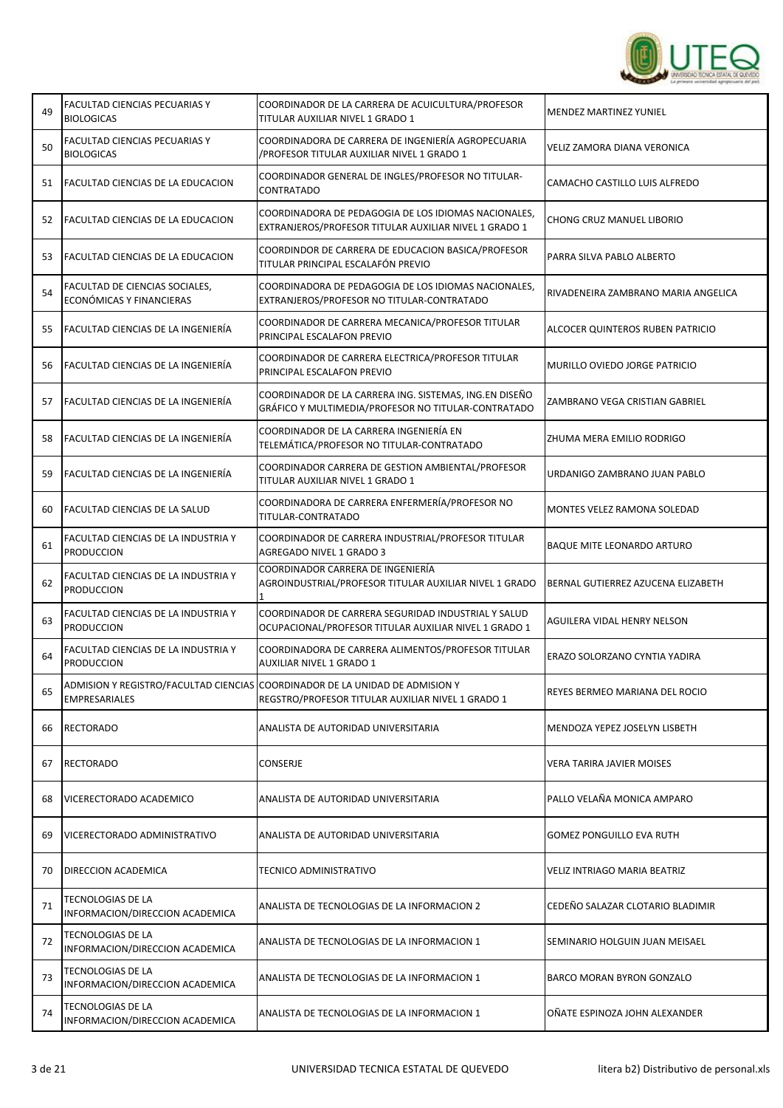

| 49 | FACULTAD CIENCIAS PECUARIAS Y<br><b>BIOLOGICAS</b>         | COORDINADOR DE LA CARRERA DE ACUICULTURA/PROFESOR<br>TITULAR AUXILIAR NIVEL 1 GRADO 1                                             | <b>MENDEZ MARTINEZ YUNIEL</b>       |
|----|------------------------------------------------------------|-----------------------------------------------------------------------------------------------------------------------------------|-------------------------------------|
| 50 | FACULTAD CIENCIAS PECUARIAS Y<br><b>BIOLOGICAS</b>         | COORDINADORA DE CARRERA DE INGENIERÍA AGROPECUARIA<br>/PROFESOR TITULAR AUXILIAR NIVEL 1 GRADO 1                                  | VELIZ ZAMORA DIANA VERONICA         |
| 51 | <b>FACULTAD CIENCIAS DE LA EDUCACION</b>                   | COORDINADOR GENERAL DE INGLES/PROFESOR NO TITULAR-<br>CONTRATADO                                                                  | CAMACHO CASTILLO LUIS ALFREDO       |
| 52 | FACULTAD CIENCIAS DE LA EDUCACION                          | COORDINADORA DE PEDAGOGIA DE LOS IDIOMAS NACIONALES,<br>EXTRANJEROS/PROFESOR TITULAR AUXILIAR NIVEL 1 GRADO 1                     | CHONG CRUZ MANUEL LIBORIO           |
| 53 | <b>FACULTAD CIENCIAS DE LA EDUCACION</b>                   | COORDINDOR DE CARRERA DE EDUCACION BASICA/PROFESOR<br>TITULAR PRINCIPAL ESCALAFÓN PREVIO                                          | PARRA SILVA PABLO ALBERTO           |
| 54 | FACULTAD DE CIENCIAS SOCIALES,<br>ECONÓMICAS Y FINANCIERAS | COORDINADORA DE PEDAGOGIA DE LOS IDIOMAS NACIONALES,<br>EXTRANJEROS/PROFESOR NO TITULAR-CONTRATADO                                | RIVADENEIRA ZAMBRANO MARIA ANGELICA |
| 55 | FACULTAD CIENCIAS DE LA INGENIERÍA                         | COORDINADOR DE CARRERA MECANICA/PROFESOR TITULAR<br>PRINCIPAL ESCALAFON PREVIO                                                    | ALCOCER QUINTEROS RUBEN PATRICIO    |
| 56 | FACULTAD CIENCIAS DE LA INGENIERÍA                         | COORDINADOR DE CARRERA ELECTRICA/PROFESOR TITULAR<br>PRINCIPAL ESCALAFON PREVIO                                                   | MURILLO OVIEDO JORGE PATRICIO       |
| 57 | lFACULTAD CIENCIAS DE LA INGENIERÍA                        | COORDINADOR DE LA CARRERA ING. SISTEMAS, ING.EN DISEÑO<br>GRÁFICO Y MULTIMEDIA/PROFESOR NO TITULAR-CONTRATADO                     | ZAMBRANO VEGA CRISTIAN GABRIEL      |
| 58 | FACULTAD CIENCIAS DE LA INGENIERÍA                         | COORDINADOR DE LA CARRERA INGENIERÍA EN<br>TELEMÁTICA/PROFESOR NO TITULAR-CONTRATADO                                              | ZHUMA MERA EMILIO RODRIGO           |
| 59 | FACULTAD CIENCIAS DE LA INGENIERÍA                         | COORDINADOR CARRERA DE GESTION AMBIENTAL/PROFESOR<br>TITULAR AUXILIAR NIVEL 1 GRADO 1                                             | URDANIGO ZAMBRANO JUAN PABLO        |
| 60 | FACULTAD CIENCIAS DE LA SALUD                              | COORDINADORA DE CARRERA ENFERMERÍA/PROFESOR NO<br>TITULAR-CONTRATADO                                                              | MONTES VELEZ RAMONA SOLEDAD         |
| 61 | FACULTAD CIENCIAS DE LA INDUSTRIA Y<br><b>PRODUCCION</b>   | COORDINADOR DE CARRERA INDUSTRIAL/PROFESOR TITULAR<br>AGREGADO NIVEL 1 GRADO 3                                                    | <b>BAQUE MITE LEONARDO ARTURO</b>   |
| 62 | FACULTAD CIENCIAS DE LA INDUSTRIA Y<br><b>PRODUCCION</b>   | COORDINADOR CARRERA DE INGENIERÍA<br>AGROINDUSTRIAL/PROFESOR TITULAR AUXILIAR NIVEL 1 GRADO                                       | BERNAL GUTIERREZ AZUCENA ELIZABETH  |
| 63 | FACULTAD CIENCIAS DE LA INDUSTRIA Y<br><b>PRODUCCION</b>   | COORDINADOR DE CARRERA SEGURIDAD INDUSTRIAL Y SALUD<br>OCUPACIONAL/PROFESOR TITULAR AUXILIAR NIVEL 1 GRADO 1                      | AGUILERA VIDAL HENRY NELSON         |
| 64 | FACULTAD CIENCIAS DE LA INDUSTRIA Y<br><b>PRODUCCION</b>   | COORDINADORA DE CARRERA ALIMENTOS/PROFESOR TITULAR<br>AUXILIAR NIVEL 1 GRADO 1                                                    | ERAZO SOLORZANO CYNTIA YADIRA       |
| 65 | EMPRESARIALES                                              | ADMISION Y REGISTRO/FACULTAD CIENCIAS COORDINADOR DE LA UNIDAD DE ADMISION Y<br>REGSTRO/PROFESOR TITULAR AUXILIAR NIVEL 1 GRADO 1 | REYES BERMEO MARIANA DEL ROCIO      |
| 66 | <b>RECTORADO</b>                                           | ANALISTA DE AUTORIDAD UNIVERSITARIA                                                                                               | MENDOZA YEPEZ JOSELYN LISBETH       |
| 67 | RECTORADO                                                  | CONSERJE                                                                                                                          | <b>VERA TARIRA JAVIER MOISES</b>    |
| 68 | VICERECTORADO ACADEMICO                                    | ANALISTA DE AUTORIDAD UNIVERSITARIA                                                                                               | PALLO VELAÑA MONICA AMPARO          |
| 69 | VICERECTORADO ADMINISTRATIVO                               | ANALISTA DE AUTORIDAD UNIVERSITARIA                                                                                               | <b>GOMEZ PONGUILLO EVA RUTH</b>     |
| 70 | DIRECCION ACADEMICA                                        | TECNICO ADMINISTRATIVO                                                                                                            | VELIZ INTRIAGO MARIA BEATRIZ        |
| 71 | TECNOLOGIAS DE LA<br>INFORMACION/DIRECCION ACADEMICA       | ANALISTA DE TECNOLOGIAS DE LA INFORMACION 2                                                                                       | CEDEÑO SALAZAR CLOTARIO BLADIMIR    |
| 72 | TECNOLOGIAS DE LA<br>INFORMACION/DIRECCION ACADEMICA       | ANALISTA DE TECNOLOGIAS DE LA INFORMACION 1                                                                                       | SEMINARIO HOLGUIN JUAN MEISAEL      |
| 73 | TECNOLOGIAS DE LA<br>INFORMACION/DIRECCION ACADEMICA       | ANALISTA DE TECNOLOGIAS DE LA INFORMACION 1                                                                                       | BARCO MORAN BYRON GONZALO           |
| 74 | TECNOLOGIAS DE LA<br>INFORMACION/DIRECCION ACADEMICA       | ANALISTA DE TECNOLOGIAS DE LA INFORMACION 1                                                                                       | OÑATE ESPINOZA JOHN ALEXANDER       |

r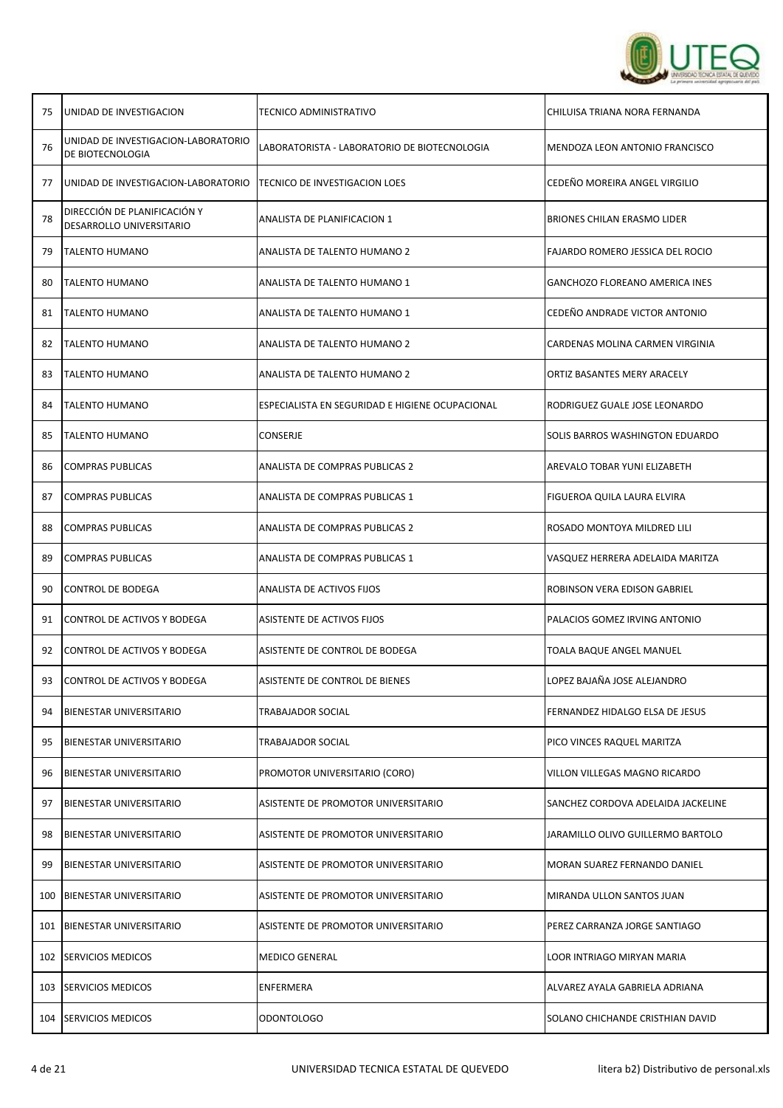

| 75  | UNIDAD DE INVESTIGACION                                  | TECNICO ADMINISTRATIVO                          | CHILUISA TRIANA NORA FERNANDA         |
|-----|----------------------------------------------------------|-------------------------------------------------|---------------------------------------|
| 76  | UNIDAD DE INVESTIGACION-LABORATORIO<br>DE BIOTECNOLOGIA  | LABORATORISTA - LABORATORIO DE BIOTECNOLOGIA    | MENDOZA LEON ANTONIO FRANCISCO        |
| 77  | UNIDAD DE INVESTIGACION-LABORATORIO                      | TECNICO DE INVESTIGACION LOES                   | CEDEÑO MOREIRA ANGEL VIRGILIO         |
| 78  | DIRECCIÓN DE PLANIFICACIÓN Y<br>DESARROLLO UNIVERSITARIO | ANALISTA DE PLANIFICACION 1                     | <b>BRIONES CHILAN ERASMO LIDER</b>    |
| 79  | <b>TALENTO HUMANO</b>                                    | ANALISTA DE TALENTO HUMANO 2                    | FAJARDO ROMERO JESSICA DEL ROCIO      |
| 80  | <b>TALENTO HUMANO</b>                                    | ANALISTA DE TALENTO HUMANO 1                    | <b>GANCHOZO FLOREANO AMERICA INES</b> |
| 81  | <b>TALENTO HUMANO</b>                                    | ANALISTA DE TALENTO HUMANO 1                    | CEDEÑO ANDRADE VICTOR ANTONIO         |
| 82  | TALENTO HUMANO                                           | ANALISTA DE TALENTO HUMANO 2                    | CARDENAS MOLINA CARMEN VIRGINIA       |
| 83  | <b>TALENTO HUMANO</b>                                    | ANALISTA DE TALENTO HUMANO 2                    | ORTIZ BASANTES MERY ARACELY           |
| 84  | <b>TALENTO HUMANO</b>                                    | ESPECIALISTA EN SEGURIDAD E HIGIENE OCUPACIONAL | RODRIGUEZ GUALE JOSE LEONARDO         |
| 85  | TALENTO HUMANO                                           | CONSERJE                                        | SOLIS BARROS WASHINGTON EDUARDO       |
| 86  | <b>COMPRAS PUBLICAS</b>                                  | ANALISTA DE COMPRAS PUBLICAS 2                  | AREVALO TOBAR YUNI ELIZABETH          |
| 87  | <b>COMPRAS PUBLICAS</b>                                  | ANALISTA DE COMPRAS PUBLICAS 1                  | FIGUEROA QUILA LAURA ELVIRA           |
| 88  | <b>COMPRAS PUBLICAS</b>                                  | ANALISTA DE COMPRAS PUBLICAS 2                  | ROSADO MONTOYA MILDRED LILI           |
| 89  | COMPRAS PUBLICAS                                         | ANALISTA DE COMPRAS PUBLICAS 1                  | VASQUEZ HERRERA ADELAIDA MARITZA      |
| 90  | CONTROL DE BODEGA                                        | ANALISTA DE ACTIVOS FIJOS                       | ROBINSON VERA EDISON GABRIEL          |
| 91  | CONTROL DE ACTIVOS Y BODEGA                              | ASISTENTE DE ACTIVOS FIJOS                      | PALACIOS GOMEZ IRVING ANTONIO         |
| 92  | CONTROL DE ACTIVOS Y BODEGA                              | ASISTENTE DE CONTROL DE BODEGA                  | TOALA BAQUE ANGEL MANUEL              |
| 93  | CONTROL DE ACTIVOS Y BODEGA                              | ASISTENTE DE CONTROL DE BIENES                  | LOPEZ BAJAÑA JOSE ALEJANDRO           |
| 94  | <b>BIENESTAR UNIVERSITARIO</b>                           | TRABAJADOR SOCIAL                               | FERNANDEZ HIDALGO ELSA DE JESUS       |
| 95  | BIENESTAR UNIVERSITARIO                                  | TRABAJADOR SOCIAL                               | PICO VINCES RAQUEL MARITZA            |
| 96  | <b>BIENESTAR UNIVERSITARIO</b>                           | PROMOTOR UNIVERSITARIO (CORO)                   | VILLON VILLEGAS MAGNO RICARDO         |
| 97  | <b>BIENESTAR UNIVERSITARIO</b>                           | ASISTENTE DE PROMOTOR UNIVERSITARIO             | SANCHEZ CORDOVA ADELAIDA JACKELINE    |
| 98  | <b>BIENESTAR UNIVERSITARIO</b>                           | ASISTENTE DE PROMOTOR UNIVERSITARIO             | JARAMILLO OLIVO GUILLERMO BARTOLO     |
| 99  | <b>BIENESTAR UNIVERSITARIO</b>                           | ASISTENTE DE PROMOTOR UNIVERSITARIO             | MORAN SUAREZ FERNANDO DANIEL          |
| 100 | BIENESTAR UNIVERSITARIO                                  | ASISTENTE DE PROMOTOR UNIVERSITARIO             | MIRANDA ULLON SANTOS JUAN             |
| 101 | BIENESTAR UNIVERSITARIO                                  | ASISTENTE DE PROMOTOR UNIVERSITARIO             | PEREZ CARRANZA JORGE SANTIAGO         |
| 102 | <b>SERVICIOS MEDICOS</b>                                 | <b>MEDICO GENERAL</b>                           | LOOR INTRIAGO MIRYAN MARIA            |
| 103 | SERVICIOS MEDICOS                                        | ENFERMERA                                       | ALVAREZ AYALA GABRIELA ADRIANA        |
| 104 | <b>SERVICIOS MEDICOS</b>                                 | <b>ODONTOLOGO</b>                               | SOLANO CHICHANDE CRISTHIAN DAVID      |

┱

Τ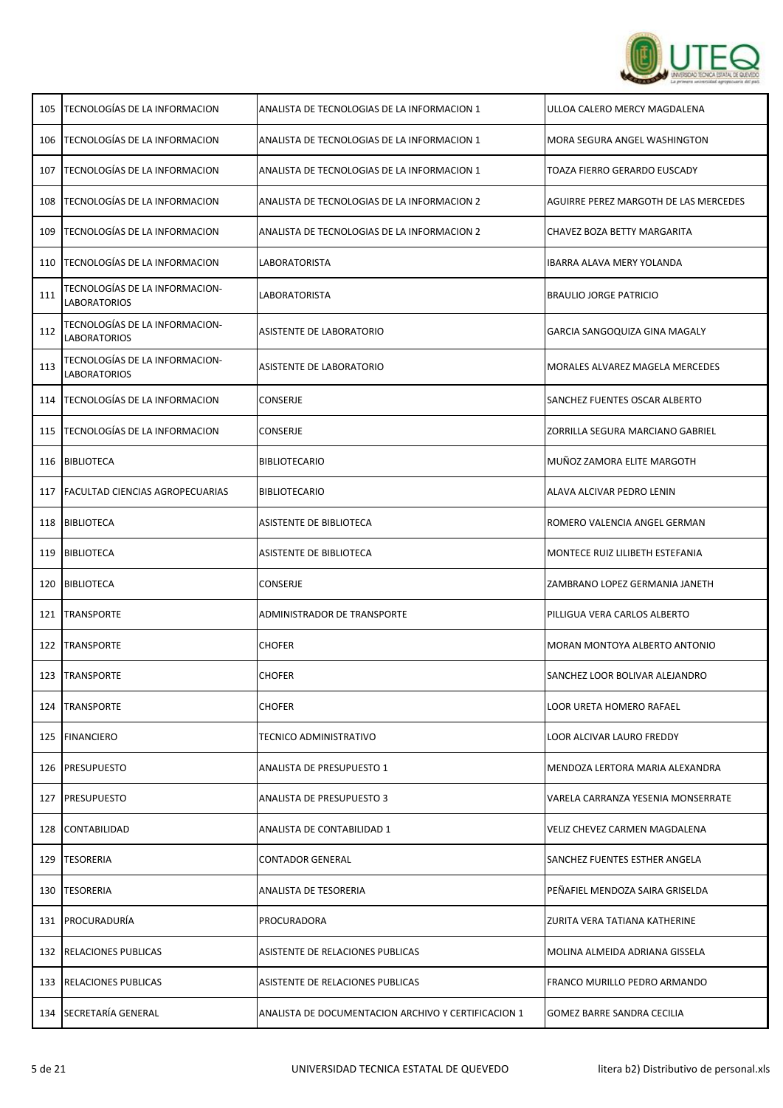

| 105 | TECNOLOGÍAS DE LA INFORMACION                         | ANALISTA DE TECNOLOGIAS DE LA INFORMACION 1         | ULLOA CALERO MERCY MAGDALENA          |
|-----|-------------------------------------------------------|-----------------------------------------------------|---------------------------------------|
| 106 | <b>TECNOLOGÍAS DE LA INFORMACION</b>                  | ANALISTA DE TECNOLOGIAS DE LA INFORMACION 1         | MORA SEGURA ANGEL WASHINGTON          |
| 107 | TECNOLOGÍAS DE LA INFORMACION                         | ANALISTA DE TECNOLOGIAS DE LA INFORMACION 1         | TOAZA FIERRO GERARDO EUSCADY          |
| 108 | <b>TECNOLOGÍAS DE LA INFORMACION</b>                  | ANALISTA DE TECNOLOGIAS DE LA INFORMACION 2         | AGUIRRE PEREZ MARGOTH DE LAS MERCEDES |
| 109 | TECNOLOGÍAS DE LA INFORMACION                         | ANALISTA DE TECNOLOGIAS DE LA INFORMACION 2         | CHAVEZ BOZA BETTY MARGARITA           |
| 110 | TECNOLOGÍAS DE LA INFORMACION                         | LABORATORISTA                                       | <b>IBARRA ALAVA MERY YOLANDA</b>      |
| 111 | TECNOLOGÍAS DE LA INFORMACION-<br><b>LABORATORIOS</b> | LABORATORISTA                                       | <b>BRAULIO JORGE PATRICIO</b>         |
| 112 | TECNOLOGÍAS DE LA INFORMACION-<br><b>LABORATORIOS</b> | ASISTENTE DE LABORATORIO                            | GARCIA SANGOQUIZA GINA MAGALY         |
| 113 | TECNOLOGÍAS DE LA INFORMACION-<br><b>LABORATORIOS</b> | ASISTENTE DE LABORATORIO                            | MORALES ALVAREZ MAGELA MERCEDES       |
| 114 | <b>TECNOLOGÍAS DE LA INFORMACION</b>                  | CONSERJE                                            | SANCHEZ FUENTES OSCAR ALBERTO         |
| 115 | <b>TECNOLOGÍAS DE LA INFORMACION</b>                  | <b>CONSERJE</b>                                     | ZORRILLA SEGURA MARCIANO GABRIEL      |
|     | 116 BIBLIOTECA                                        | <b>BIBLIOTECARIO</b>                                | MUÑOZ ZAMORA ELITE MARGOTH            |
|     | 117   FACULTAD CIENCIAS AGROPECUARIAS                 | <b>BIBLIOTECARIO</b>                                | ALAVA ALCIVAR PEDRO LENIN             |
|     | 118 BIBLIOTECA                                        | ASISTENTE DE BIBLIOTECA                             | ROMERO VALENCIA ANGEL GERMAN          |
| 119 | <b>BIBLIOTECA</b>                                     | ASISTENTE DE BIBLIOTECA                             | MONTECE RUIZ LILIBETH ESTEFANIA       |
| 120 | <b>BIBLIOTECA</b>                                     | CONSERJE                                            | ZAMBRANO LOPEZ GERMANIA JANETH        |
| 121 | <b>TRANSPORTE</b>                                     | ADMINISTRADOR DE TRANSPORTE                         | PILLIGUA VERA CARLOS ALBERTO          |
|     | 122 TRANSPORTE                                        | <b>CHOFER</b>                                       | MORAN MONTOYA ALBERTO ANTONIO         |
| 123 | TRANSPORTE                                            | <b>CHOFER</b>                                       | SANCHEZ LOOR BOLIVAR ALEJANDRO        |
| 124 | <b>TRANSPORTE</b>                                     | <b>CHOFER</b>                                       | LOOR URETA HOMERO RAFAEL              |
|     | 125   FINANCIERO                                      | <b>TECNICO ADMINISTRATIVO</b>                       | LOOR ALCIVAR LAURO FREDDY             |
|     | 126   PRESUPUESTO                                     | <b>ANALISTA DE PRESUPUESTO 1</b>                    | MENDOZA LERTORA MARIA ALEXANDRA       |
| 127 | <b>PRESUPUESTO</b>                                    | <b>ANALISTA DE PRESUPUESTO 3</b>                    | VARELA CARRANZA YESENIA MONSERRATE    |
| 128 | CONTABILIDAD                                          | ANALISTA DE CONTABILIDAD 1                          | VELIZ CHEVEZ CARMEN MAGDALENA         |
| 129 | <b>TESORERIA</b>                                      | <b>CONTADOR GENERAL</b>                             | SANCHEZ FUENTES ESTHER ANGELA         |
| 130 | <b>TESORERIA</b>                                      | ANALISTA DE TESORERIA                               | PEÑAFIEL MENDOZA SAIRA GRISELDA       |
|     | 131   PROCURADURÍA                                    | PROCURADORA                                         | ZURITA VERA TATIANA KATHERINE         |
|     | 132   RELACIONES PUBLICAS                             | ASISTENTE DE RELACIONES PUBLICAS                    | MOLINA ALMEIDA ADRIANA GISSELA        |
|     | 133   RELACIONES PUBLICAS                             | ASISTENTE DE RELACIONES PUBLICAS                    | FRANCO MURILLO PEDRO ARMANDO          |
|     | 134 SECRETARÍA GENERAL                                | ANALISTA DE DOCUMENTACION ARCHIVO Y CERTIFICACION 1 | GOMEZ BARRE SANDRA CECILIA            |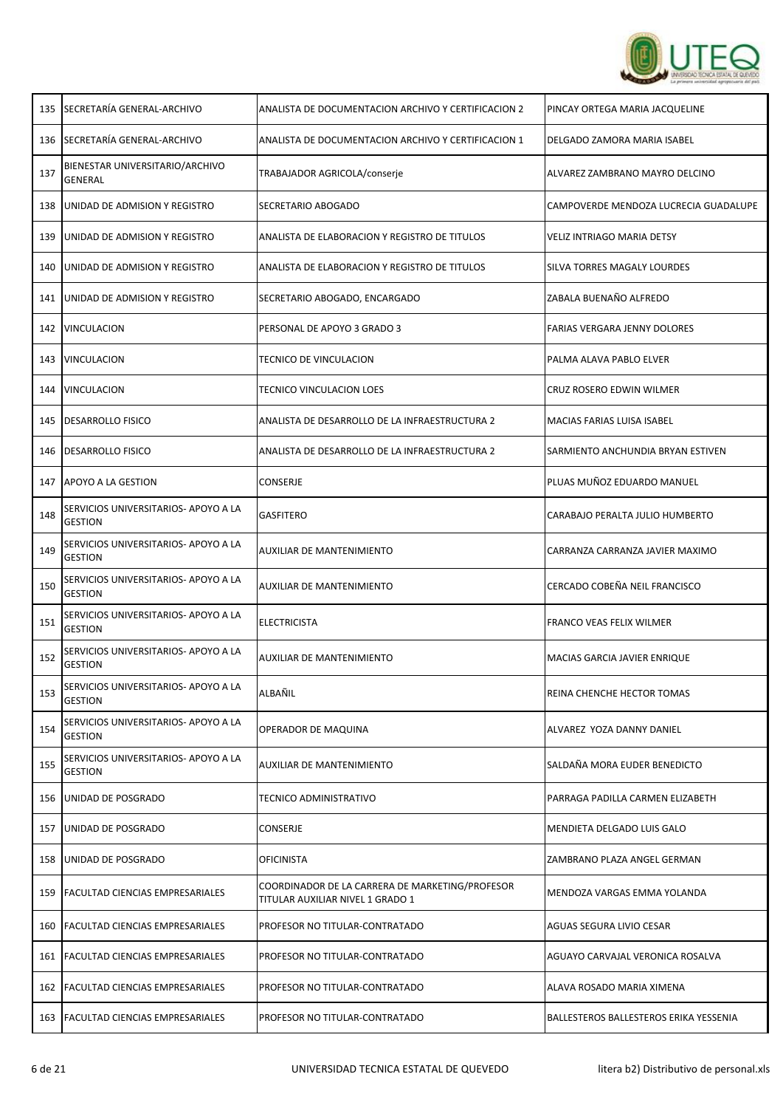

| 135 | SECRETARÍA GENERAL-ARCHIVO                             | ANALISTA DE DOCUMENTACION ARCHIVO Y CERTIFICACION 2                                 | PINCAY ORTEGA MARIA JACQUELINE         |
|-----|--------------------------------------------------------|-------------------------------------------------------------------------------------|----------------------------------------|
|     | 136 SECRETARÍA GENERAL-ARCHIVO                         | ANALISTA DE DOCUMENTACION ARCHIVO Y CERTIFICACION 1                                 | DELGADO ZAMORA MARIA ISABEL            |
| 137 | BIENESTAR UNIVERSITARIO/ARCHIVO<br>GENERAL             | TRABAJADOR AGRICOLA/conserje                                                        | ALVAREZ ZAMBRANO MAYRO DELCINO         |
| 138 | UNIDAD DE ADMISION Y REGISTRO                          | SECRETARIO ABOGADO                                                                  | CAMPOVERDE MENDOZA LUCRECIA GUADALUPE  |
| 139 | UNIDAD DE ADMISION Y REGISTRO                          | ANALISTA DE ELABORACION Y REGISTRO DE TITULOS                                       | VELIZ INTRIAGO MARIA DETSY             |
| 140 | UNIDAD DE ADMISION Y REGISTRO                          | ANALISTA DE ELABORACION Y REGISTRO DE TITULOS                                       | SILVA TORRES MAGALY LOURDES            |
| 141 | UNIDAD DE ADMISION Y REGISTRO                          | SECRETARIO ABOGADO, ENCARGADO                                                       | ZABALA BUENAÑO ALFREDO                 |
|     | 142   VINCULACION                                      | PERSONAL DE APOYO 3 GRADO 3                                                         | <b>FARIAS VERGARA JENNY DOLORES</b>    |
| 143 | VINCULACION                                            | TECNICO DE VINCULACION                                                              | PALMA ALAVA PABLO ELVER                |
| 144 | <b>VINCULACION</b>                                     | <b>TECNICO VINCULACION LOES</b>                                                     | CRUZ ROSERO EDWIN WILMER               |
| 145 | <b>DESARROLLO FISICO</b>                               | ANALISTA DE DESARROLLO DE LA INFRAESTRUCTURA 2                                      | MACIAS FARIAS LUISA ISABEL             |
| 146 | <b>DESARROLLO FISICO</b>                               | ANALISTA DE DESARROLLO DE LA INFRAESTRUCTURA 2                                      | SARMIENTO ANCHUNDIA BRYAN ESTIVEN      |
|     | 147 APOYO A LA GESTION                                 | CONSERJE                                                                            | PLUAS MUÑOZ EDUARDO MANUEL             |
| 148 | SERVICIOS UNIVERSITARIOS- APOYO A LA<br><b>GESTION</b> | <b>GASFITERO</b>                                                                    | CARABAJO PERALTA JULIO HUMBERTO        |
| 149 | SERVICIOS UNIVERSITARIOS- APOYO A LA<br><b>GESTION</b> | AUXILIAR DE MANTENIMIENTO                                                           | CARRANZA CARRANZA JAVIER MAXIMO        |
| 150 | SERVICIOS UNIVERSITARIOS- APOYO A LA<br><b>GESTION</b> | AUXILIAR DE MANTENIMIENTO                                                           | CERCADO COBEÑA NEIL FRANCISCO          |
| 151 | SERVICIOS UNIVERSITARIOS- APOYO A LA<br><b>GESTION</b> | <b>ELECTRICISTA</b>                                                                 | FRANCO VEAS FELIX WILMER               |
| 152 | SERVICIOS UNIVERSITARIOS- APOYO A LA<br><b>GESTION</b> | AUXILIAR DE MANTENIMIENTO                                                           | MACIAS GARCIA JAVIER ENRIQUE           |
| 153 | SERVICIOS UNIVERSITARIOS- APOYO A LA<br><b>GESTION</b> | ALBAÑIL                                                                             | REINA CHENCHE HECTOR TOMAS             |
| 154 | SERVICIOS UNIVERSITARIOS- APOYO A LA<br><b>GESTION</b> | OPERADOR DE MAQUINA                                                                 | ALVAREZ YOZA DANNY DANIEL              |
| 155 | SERVICIOS UNIVERSITARIOS- APOYO A LA<br><b>GESTION</b> | <b>AUXILIAR DE MANTENIMIENTO</b>                                                    | SALDAÑA MORA EUDER BENEDICTO           |
| 156 | UNIDAD DE POSGRADO                                     | <b>TECNICO ADMINISTRATIVO</b>                                                       | PARRAGA PADILLA CARMEN ELIZABETH       |
| 157 | UNIDAD DE POSGRADO                                     | CONSERJE                                                                            | MENDIETA DELGADO LUIS GALO             |
| 158 | UNIDAD DE POSGRADO                                     | <b>OFICINISTA</b>                                                                   | ZAMBRANO PLAZA ANGEL GERMAN            |
| 159 | <b>FACULTAD CIENCIAS EMPRESARIALES</b>                 | COORDINADOR DE LA CARRERA DE MARKETING/PROFESOR<br>TITULAR AUXILIAR NIVEL 1 GRADO 1 | MENDOZA VARGAS EMMA YOLANDA            |
| 160 | <b>FACULTAD CIENCIAS EMPRESARIALES</b>                 | PROFESOR NO TITULAR-CONTRATADO                                                      | AGUAS SEGURA LIVIO CESAR               |
| 161 | <b>FACULTAD CIENCIAS EMPRESARIALES</b>                 | PROFESOR NO TITULAR-CONTRATADO                                                      | AGUAYO CARVAJAL VERONICA ROSALVA       |
| 162 | <b>FACULTAD CIENCIAS EMPRESARIALES</b>                 | PROFESOR NO TITULAR-CONTRATADO                                                      | ALAVA ROSADO MARIA XIMENA              |
| 163 | <b>FACULTAD CIENCIAS EMPRESARIALES</b>                 | PROFESOR NO TITULAR-CONTRATADO                                                      | BALLESTEROS BALLESTEROS ERIKA YESSENIA |

Г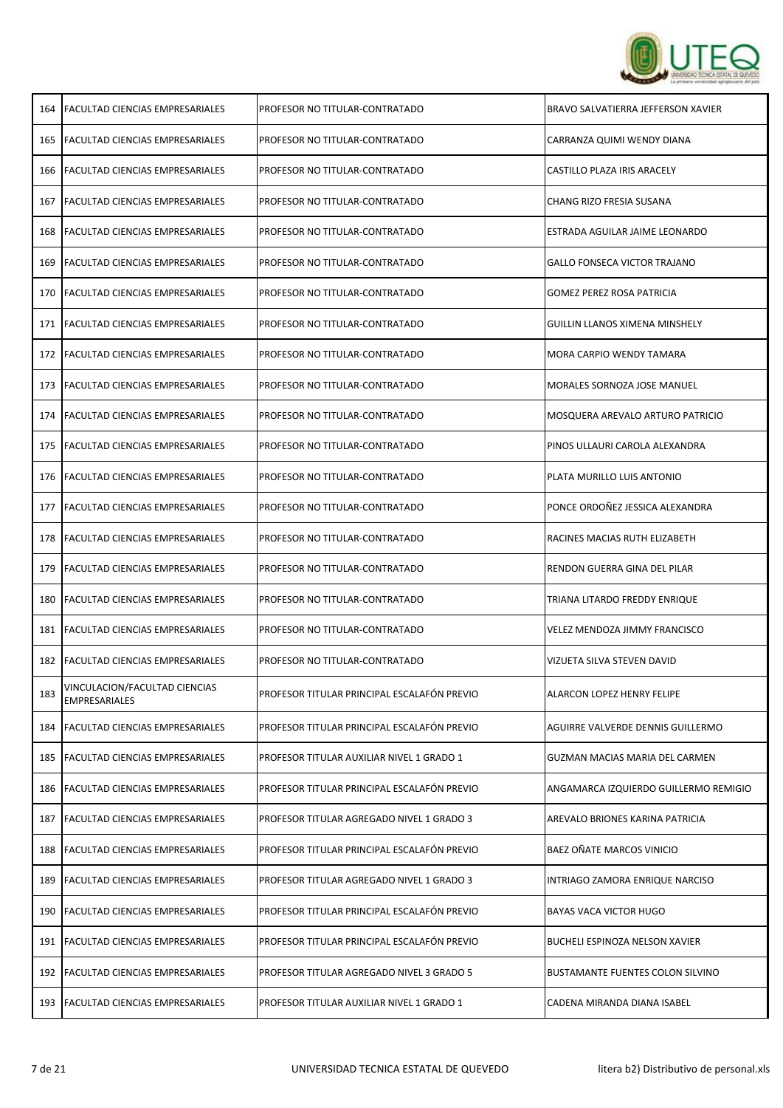

| 164 | <b>FACULTAD CIENCIAS EMPRESARIALES</b>                | PROFESOR NO TITULAR-CONTRATADO              | BRAVO SALVATIERRA JEFFERSON XAVIER    |
|-----|-------------------------------------------------------|---------------------------------------------|---------------------------------------|
| 165 | <b>FACULTAD CIENCIAS EMPRESARIALES</b>                | PROFESOR NO TITULAR-CONTRATADO              | CARRANZA QUIMI WENDY DIANA            |
| 166 | <b>FACULTAD CIENCIAS EMPRESARIALES</b>                | PROFESOR NO TITULAR-CONTRATADO              | CASTILLO PLAZA IRIS ARACELY           |
| 167 | <b>FACULTAD CIENCIAS EMPRESARIALES</b>                | PROFESOR NO TITULAR-CONTRATADO              | CHANG RIZO FRESIA SUSANA              |
| 168 | <b>FACULTAD CIENCIAS EMPRESARIALES</b>                | PROFESOR NO TITULAR-CONTRATADO              | ESTRADA AGUILAR JAIME LEONARDO        |
| 169 | <b>FACULTAD CIENCIAS EMPRESARIALES</b>                | PROFESOR NO TITULAR-CONTRATADO              | <b>GALLO FONSECA VICTOR TRAJANO</b>   |
| 170 | <b>FACULTAD CIENCIAS EMPRESARIALES</b>                | PROFESOR NO TITULAR-CONTRATADO              | <b>GOMEZ PEREZ ROSA PATRICIA</b>      |
| 171 | <b>FACULTAD CIENCIAS EMPRESARIALES</b>                | PROFESOR NO TITULAR-CONTRATADO              | <b>GUILLIN LLANOS XIMENA MINSHELY</b> |
| 172 | <b>FACULTAD CIENCIAS EMPRESARIALES</b>                | PROFESOR NO TITULAR-CONTRATADO              | MORA CARPIO WENDY TAMARA              |
| 173 | <b>FACULTAD CIENCIAS EMPRESARIALES</b>                | PROFESOR NO TITULAR-CONTRATADO              | MORALES SORNOZA JOSE MANUEL           |
| 174 | <b>FACULTAD CIENCIAS EMPRESARIALES</b>                | PROFESOR NO TITULAR-CONTRATADO              | MOSQUERA AREVALO ARTURO PATRICIO      |
| 175 | <b>FACULTAD CIENCIAS EMPRESARIALES</b>                | PROFESOR NO TITULAR-CONTRATADO              | PINOS ULLAURI CAROLA ALEXANDRA        |
| 176 | <b>FACULTAD CIENCIAS EMPRESARIALES</b>                | PROFESOR NO TITULAR-CONTRATADO              | PLATA MURILLO LUIS ANTONIO            |
| 177 | <b>FACULTAD CIENCIAS EMPRESARIALES</b>                | PROFESOR NO TITULAR-CONTRATADO              | PONCE ORDOÑEZ JESSICA ALEXANDRA       |
| 178 | <b>FACULTAD CIENCIAS EMPRESARIALES</b>                | PROFESOR NO TITULAR-CONTRATADO              | RACINES MACIAS RUTH ELIZABETH         |
| 179 | <b>FACULTAD CIENCIAS EMPRESARIALES</b>                | PROFESOR NO TITULAR-CONTRATADO              | RENDON GUERRA GINA DEL PILAR          |
| 180 | <b>FACULTAD CIENCIAS EMPRESARIALES</b>                | PROFESOR NO TITULAR-CONTRATADO              | TRIANA LITARDO FREDDY ENRIQUE         |
| 181 | <b>FACULTAD CIENCIAS EMPRESARIALES</b>                | PROFESOR NO TITULAR-CONTRATADO              | VELEZ MENDOZA JIMMY FRANCISCO         |
| 182 | <b>FACULTAD CIENCIAS EMPRESARIALES</b>                | PROFESOR NO TITULAR-CONTRATADO              | VIZUETA SILVA STEVEN DAVID            |
| 183 | VINCULACION/FACULTAD CIENCIAS<br><b>EMPRESARIALES</b> | PROFESOR TITULAR PRINCIPAL ESCALAFON PREVIO | <b>ALARCON LOPEZ HENRY FELIPE</b>     |
| 184 | <b>FACULTAD CIENCIAS EMPRESARIALES</b>                | PROFESOR TITULAR PRINCIPAL ESCALAFÓN PREVIO | AGUIRRE VALVERDE DENNIS GUILLERMO     |
| 185 | <b>FACULTAD CIENCIAS EMPRESARIALES</b>                | PROFESOR TITULAR AUXILIAR NIVEL 1 GRADO 1   | GUZMAN MACIAS MARIA DEL CARMEN        |
| 186 | <b>FACULTAD CIENCIAS EMPRESARIALES</b>                | PROFESOR TITULAR PRINCIPAL ESCALAFÓN PREVIO | ANGAMARCA IZQUIERDO GUILLERMO REMIGIO |
| 187 | <b>FACULTAD CIENCIAS EMPRESARIALES</b>                | PROFESOR TITULAR AGREGADO NIVEL 1 GRADO 3   | AREVALO BRIONES KARINA PATRICIA       |
| 188 | <b>FACULTAD CIENCIAS EMPRESARIALES</b>                | PROFESOR TITULAR PRINCIPAL ESCALAFÓN PREVIO | BAEZ OÑATE MARCOS VINICIO             |
| 189 | <b>FACULTAD CIENCIAS EMPRESARIALES</b>                | PROFESOR TITULAR AGREGADO NIVEL 1 GRADO 3   | INTRIAGO ZAMORA ENRIQUE NARCISO       |
| 190 | <b>FACULTAD CIENCIAS EMPRESARIALES</b>                | PROFESOR TITULAR PRINCIPAL ESCALAFÓN PREVIO | <b>BAYAS VACA VICTOR HUGO</b>         |
| 191 | <b>FACULTAD CIENCIAS EMPRESARIALES</b>                | PROFESOR TITULAR PRINCIPAL ESCALAFÓN PREVIO | BUCHELI ESPINOZA NELSON XAVIER        |
| 192 | <b>FACULTAD CIENCIAS EMPRESARIALES</b>                | PROFESOR TITULAR AGREGADO NIVEL 3 GRADO 5   | BUSTAMANTE FUENTES COLON SILVINO      |
| 193 | <b>FACULTAD CIENCIAS EMPRESARIALES</b>                | PROFESOR TITULAR AUXILIAR NIVEL 1 GRADO 1   | CADENA MIRANDA DIANA ISABEL           |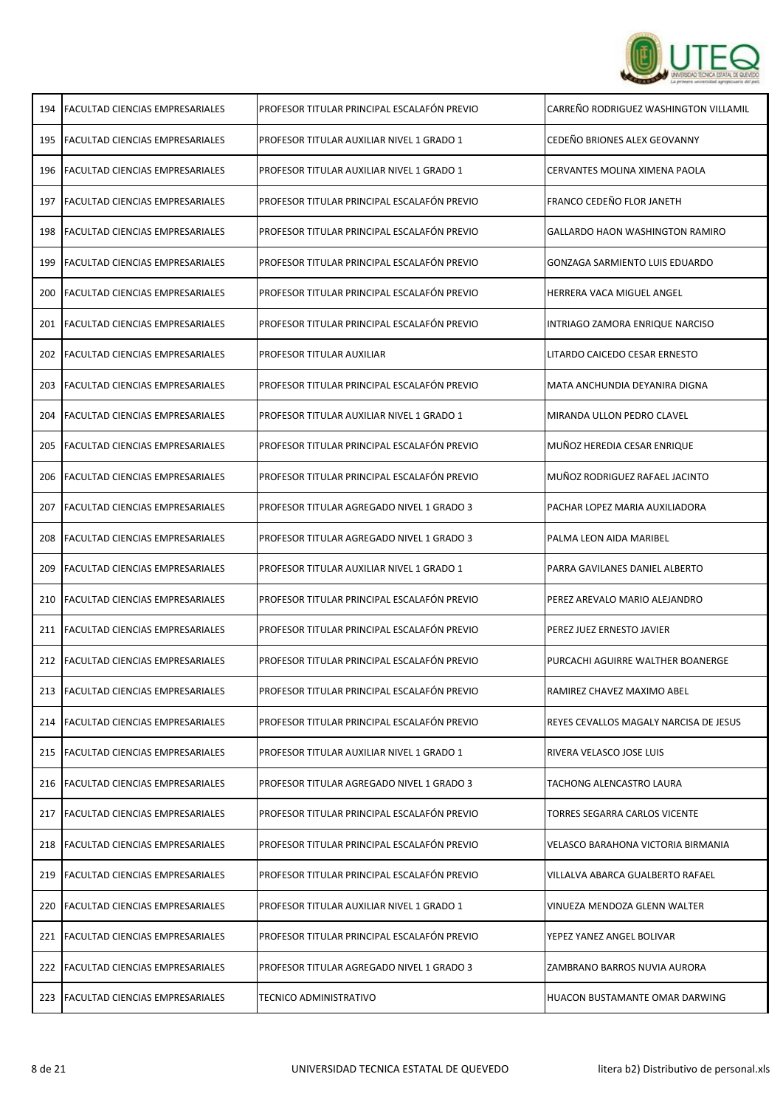

| 194 | FACULTAD CIENCIAS EMPRESARIALES        | PROFESOR TITULAR PRINCIPAL ESCALAFÓN PREVIO | CARREÑO RODRIGUEZ WASHINGTON VILLAMIL  |
|-----|----------------------------------------|---------------------------------------------|----------------------------------------|
| 195 | <b>FACULTAD CIENCIAS EMPRESARIALES</b> | PROFESOR TITULAR AUXILIAR NIVEL 1 GRADO 1   | CEDEÑO BRIONES ALEX GEOVANNY           |
|     | 196 FACULTAD CIENCIAS EMPRESARIALES    | PROFESOR TITULAR AUXILIAR NIVEL 1 GRADO 1   | <b>CERVANTES MOLINA XIMENA PAOLA</b>   |
|     | 197   FACULTAD CIENCIAS EMPRESARIALES  | PROFESOR TITULAR PRINCIPAL ESCALAFÓN PREVIO | FRANCO CEDEÑO FLOR JANETH              |
| 198 | FACULTAD CIENCIAS EMPRESARIALES        | PROFESOR TITULAR PRINCIPAL ESCALAFÓN PREVIO | <b>GALLARDO HAON WASHINGTON RAMIRO</b> |
| 199 | FACULTAD CIENCIAS EMPRESARIALES        | PROFESOR TITULAR PRINCIPAL ESCALAFÓN PREVIO | GONZAGA SARMIENTO LUIS EDUARDO         |
| 200 | <b>FACULTAD CIENCIAS EMPRESARIALES</b> | PROFESOR TITULAR PRINCIPAL ESCALAFÓN PREVIO | HERRERA VACA MIGUEL ANGEL              |
|     | 201   FACULTAD CIENCIAS EMPRESARIALES  | PROFESOR TITULAR PRINCIPAL ESCALAFÓN PREVIO | INTRIAGO ZAMORA ENRIQUE NARCISO        |
|     | 202   FACULTAD CIENCIAS EMPRESARIALES  | PROFESOR TITULAR AUXILIAR                   | LITARDO CAICEDO CESAR ERNESTO          |
|     | 203   FACULTAD CIENCIAS EMPRESARIALES  | PROFESOR TITULAR PRINCIPAL ESCALAFÓN PREVIO | MATA ANCHUNDIA DEYANIRA DIGNA          |
|     | 204   FACULTAD CIENCIAS EMPRESARIALES  | PROFESOR TITULAR AUXILIAR NIVEL 1 GRADO 1   | MIRANDA ULLON PEDRO CLAVEL             |
|     | 205   FACULTAD CIENCIAS EMPRESARIALES  | PROFESOR TITULAR PRINCIPAL ESCALAFÓN PREVIO | MUÑOZ HEREDIA CESAR ENRIQUE            |
|     | 206   FACULTAD CIENCIAS EMPRESARIALES  | PROFESOR TITULAR PRINCIPAL ESCALAFÓN PREVIO | MUÑOZ RODRIGUEZ RAFAEL JACINTO         |
| 207 | <b>FACULTAD CIENCIAS EMPRESARIALES</b> | PROFESOR TITULAR AGREGADO NIVEL 1 GRADO 3   | PACHAR LOPEZ MARIA AUXILIADORA         |
| 208 | <b>FACULTAD CIENCIAS EMPRESARIALES</b> | PROFESOR TITULAR AGREGADO NIVEL 1 GRADO 3   | PALMA LEON AIDA MARIBEL                |
| 209 | FACULTAD CIENCIAS EMPRESARIALES        | PROFESOR TITULAR AUXILIAR NIVEL 1 GRADO 1   | PARRA GAVILANES DANIEL ALBERTO         |
| 210 | <b>FACULTAD CIENCIAS EMPRESARIALES</b> | PROFESOR TITULAR PRINCIPAL ESCALAFÓN PREVIO | PEREZ AREVALO MARIO ALEJANDRO          |
|     | 211   FACULTAD CIENCIAS EMPRESARIALES  | PROFESOR TITULAR PRINCIPAL ESCALAFÓN PREVIO | PEREZ JUEZ ERNESTO JAVIER              |
|     | 212 FACULTAD CIENCIAS EMPRESARIALES    | PROFESOR TITULAR PRINCIPAL ESCALAFÓN PREVIO | PURCACHI AGUIRRE WALTHER BOANERGE      |
|     | 213   FACULTAD CIENCIAS EMPRESARIALES  | PROFESOR TITULAR PRINCIPAL ESCALAFÓN PREVIO | RAMIREZ CHAVEZ MAXIMO ABEL             |
|     | 214   FACULTAD CIENCIAS EMPRESARIALES  | PROFESOR TITULAR PRINCIPAL ESCALAFÓN PREVIO | REYES CEVALLOS MAGALY NARCISA DE JESUS |
| 215 | <b>FACULTAD CIENCIAS EMPRESARIALES</b> | PROFESOR TITULAR AUXILIAR NIVEL 1 GRADO 1   | RIVERA VELASCO JOSE LUIS               |
| 216 | FACULTAD CIENCIAS EMPRESARIALES        | PROFESOR TITULAR AGREGADO NIVEL 1 GRADO 3   | TACHONG ALENCASTRO LAURA               |
| 217 | <b>FACULTAD CIENCIAS EMPRESARIALES</b> | PROFESOR TITULAR PRINCIPAL ESCALAFÓN PREVIO | TORRES SEGARRA CARLOS VICENTE          |
|     | 218   FACULTAD CIENCIAS EMPRESARIALES  | PROFESOR TITULAR PRINCIPAL ESCALAFÓN PREVIO | VELASCO BARAHONA VICTORIA BIRMANIA     |
| 219 | FACULTAD CIENCIAS EMPRESARIALES        | PROFESOR TITULAR PRINCIPAL ESCALAFÓN PREVIO | VILLALVA ABARCA GUALBERTO RAFAEL       |
|     | 220   FACULTAD CIENCIAS EMPRESARIALES  | PROFESOR TITULAR AUXILIAR NIVEL 1 GRADO 1   | VINUEZA MENDOZA GLENN WALTER           |
|     | 221   FACULTAD CIENCIAS EMPRESARIALES  | PROFESOR TITULAR PRINCIPAL ESCALAFÓN PREVIO | YEPEZ YANEZ ANGEL BOLIVAR              |
|     | 222   FACULTAD CIENCIAS EMPRESARIALES  | PROFESOR TITULAR AGREGADO NIVEL 1 GRADO 3   | ZAMBRANO BARROS NUVIA AURORA           |
|     | 223 FACULTAD CIENCIAS EMPRESARIALES    | <b>TECNICO ADMINISTRATIVO</b>               | HUACON BUSTAMANTE OMAR DARWING         |

r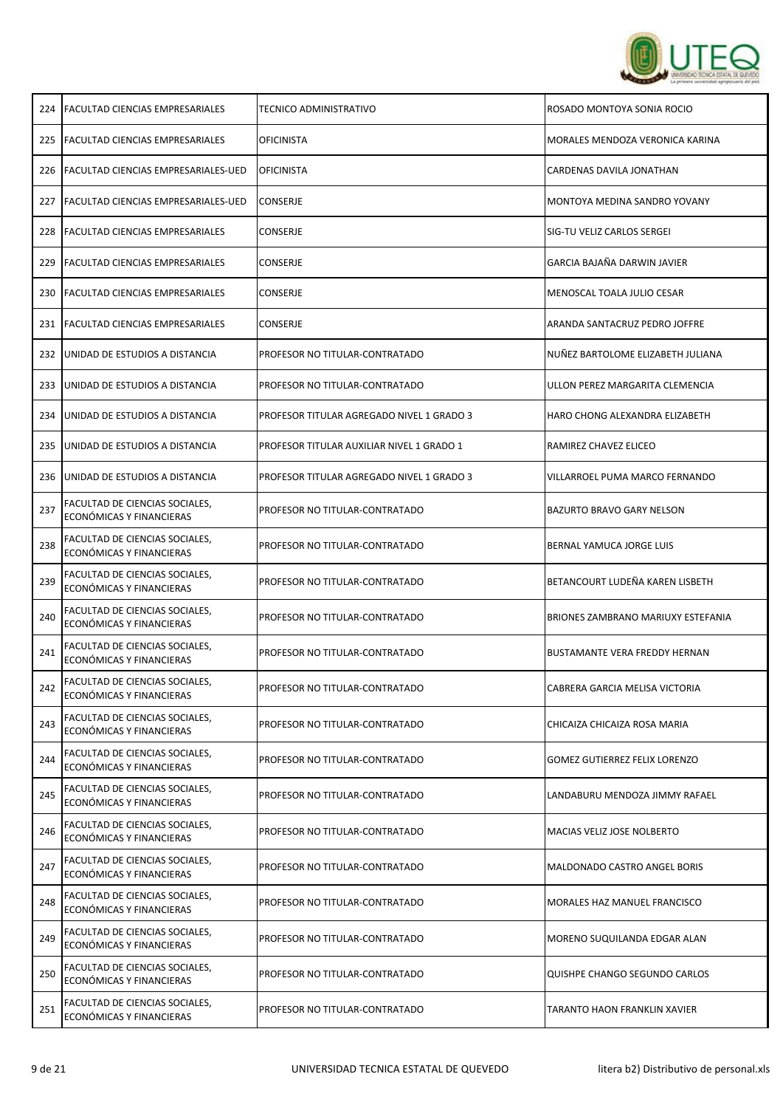

| 224 | <b>FACULTAD CIENCIAS EMPRESARIALES</b>                            | TECNICO ADMINISTRATIVO                    | ROSADO MONTOYA SONIA ROCIO                |
|-----|-------------------------------------------------------------------|-------------------------------------------|-------------------------------------------|
| 225 | <b>FACULTAD CIENCIAS EMPRESARIALES</b>                            | <b>OFICINISTA</b>                         | MORALES MENDOZA VERONICA KARINA           |
|     | 226   FACULTAD CIENCIAS EMPRESARIALES-UED                         | OFICINISTA                                | CARDENAS DAVILA JONATHAN                  |
| 227 | <b>FACULTAD CIENCIAS EMPRESARIALES-UED</b>                        | CONSERJE                                  | MONTOYA MEDINA SANDRO YOVANY              |
| 228 | <b>FACULTAD CIENCIAS EMPRESARIALES</b>                            | <b>CONSERJE</b>                           | SIG-TU VELIZ CARLOS SERGEI                |
| 229 | <b>FACULTAD CIENCIAS EMPRESARIALES</b>                            | <b>CONSERJE</b>                           | GARCIA BAJAÑA DARWIN JAVIER               |
| 230 | <b>FACULTAD CIENCIAS EMPRESARIALES</b>                            | <b>CONSERJE</b>                           | MENOSCAL TOALA JULIO CESAR                |
| 231 | <b>FACULTAD CIENCIAS EMPRESARIALES</b>                            | <b>CONSERJE</b>                           | ARANDA SANTACRUZ PEDRO JOFFRE             |
| 232 | UNIDAD DE ESTUDIOS A DISTANCIA                                    | PROFESOR NO TITULAR-CONTRATADO            | NUÑEZ BARTOLOME ELIZABETH JULIANA         |
| 233 | UNIDAD DE ESTUDIOS A DISTANCIA                                    | PROFESOR NO TITULAR-CONTRATADO            | ULLON PEREZ MARGARITA CLEMENCIA           |
| 234 | UNIDAD DE ESTUDIOS A DISTANCIA                                    | PROFESOR TITULAR AGREGADO NIVEL 1 GRADO 3 | HARO CHONG ALEXANDRA ELIZABETH            |
| 235 | JUNIDAD DE ESTUDIOS A DISTANCIA                                   | PROFESOR TITULAR AUXILIAR NIVEL 1 GRADO 1 | RAMIREZ CHAVEZ ELICEO                     |
| 236 | UNIDAD DE ESTUDIOS A DISTANCIA                                    | PROFESOR TITULAR AGREGADO NIVEL 1 GRADO 3 | VILLARROEL PUMA MARCO FERNANDO            |
| 237 | FACULTAD DE CIENCIAS SOCIALES,<br>ECONÓMICAS Y FINANCIERAS        | PROFESOR NO TITULAR-CONTRATADO            | <b>BAZURTO BRAVO GARY NELSON</b>          |
| 238 | FACULTAD DE CIENCIAS SOCIALES,<br>ECONÓMICAS Y FINANCIERAS        | PROFESOR NO TITULAR-CONTRATADO            | BERNAL YAMUCA JORGE LUIS                  |
| 239 | FACULTAD DE CIENCIAS SOCIALES,<br>ECONÓMICAS Y FINANCIERAS        | PROFESOR NO TITULAR-CONTRATADO            | BETANCOURT LUDEÑA KAREN LISBETH           |
| 240 | FACULTAD DE CIENCIAS SOCIALES,<br>ECONÓMICAS Y FINANCIERAS        | PROFESOR NO TITULAR-CONTRATADO            | <b>BRIONES ZAMBRANO MARIUXY ESTEFANIA</b> |
| 241 | FACULTAD DE CIENCIAS SOCIALES,<br>ECONÓMICAS Y FINANCIERAS        | PROFESOR NO TITULAR-CONTRATADO            | <b>BUSTAMANTE VERA FREDDY HERNAN</b>      |
| 242 | <b>FACULTAD DE CIENCIAS SOCIALES,</b><br>ECONÓMICAS Y FINANCIERAS | PROFESOR NO TITULAR-CONTRATADO            | CABRERA GARCIA MELISA VICTORIA            |
| 243 | FACULTAD DE CIENCIAS SOCIALES,<br>ECONÓMICAS Y FINANCIERAS        | PROFESOR NO TITULAR-CONTRATADO            | CHICAIZA CHICAIZA ROSA MARIA              |
| 244 | FACULTAD DE CIENCIAS SOCIALES,<br>ECONÓMICAS Y FINANCIERAS        | PROFESOR NO TITULAR-CONTRATADO            | <b>GOMEZ GUTIERREZ FELIX LORENZO</b>      |
| 245 | FACULTAD DE CIENCIAS SOCIALES,<br>ECONÓMICAS Y FINANCIERAS        | PROFESOR NO TITULAR-CONTRATADO            | LANDABURU MENDOZA JIMMY RAFAEL            |
| 246 | FACULTAD DE CIENCIAS SOCIALES,<br>ECONÓMICAS Y FINANCIERAS        | PROFESOR NO TITULAR-CONTRATADO            | MACIAS VELIZ JOSE NOLBERTO                |
| 247 | FACULTAD DE CIENCIAS SOCIALES,<br>ECONÓMICAS Y FINANCIERAS        | PROFESOR NO TITULAR-CONTRATADO            | MALDONADO CASTRO ANGEL BORIS              |
| 248 | FACULTAD DE CIENCIAS SOCIALES,<br>ECONÓMICAS Y FINANCIERAS        | PROFESOR NO TITULAR-CONTRATADO            | MORALES HAZ MANUEL FRANCISCO              |
| 249 | FACULTAD DE CIENCIAS SOCIALES,<br>ECONÓMICAS Y FINANCIERAS        | PROFESOR NO TITULAR-CONTRATADO            | MORENO SUQUILANDA EDGAR ALAN              |
| 250 | FACULTAD DE CIENCIAS SOCIALES,<br>ECONÓMICAS Y FINANCIERAS        | PROFESOR NO TITULAR-CONTRATADO            | QUISHPE CHANGO SEGUNDO CARLOS             |
| 251 | FACULTAD DE CIENCIAS SOCIALES,<br>ECONÓMICAS Y FINANCIERAS        | PROFESOR NO TITULAR-CONTRATADO            | TARANTO HAON FRANKLIN XAVIER              |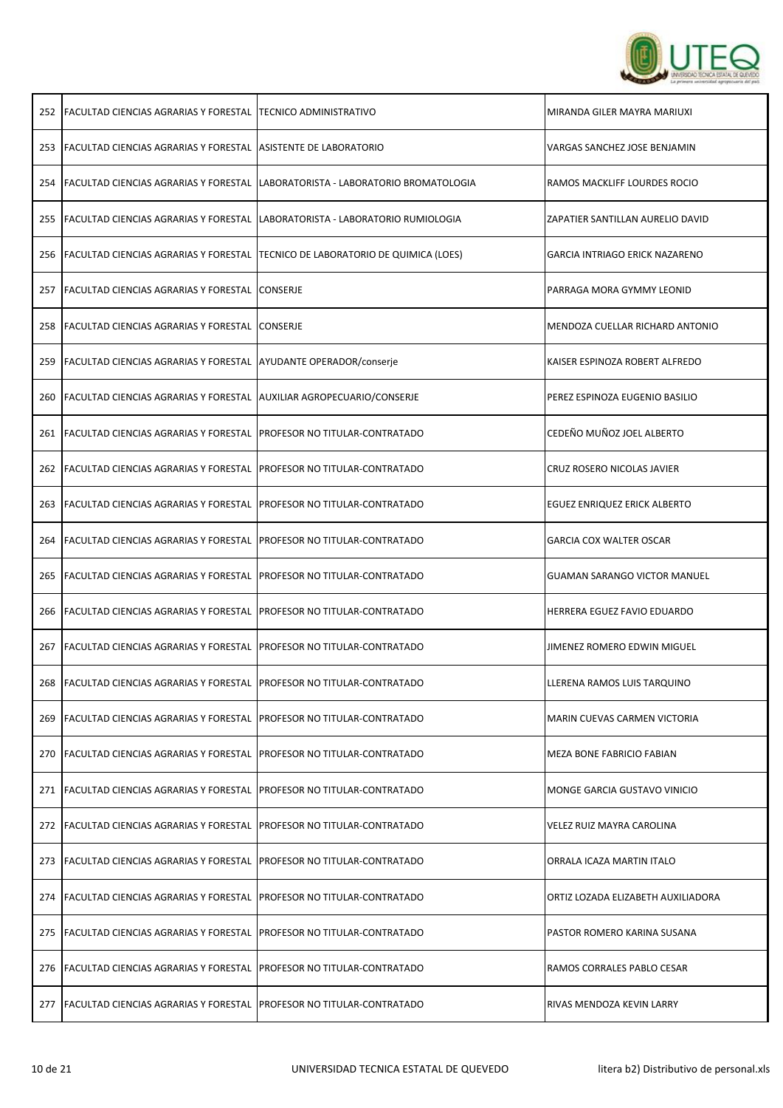

| 252 | FACULTAD CIENCIAS AGRARIAS Y FORESTAL   TECNICO ADMINISTRATIVO               |                                          | MIRANDA GILER MAYRA MARIUXI           |
|-----|------------------------------------------------------------------------------|------------------------------------------|---------------------------------------|
|     | 253 FACULTAD CIENCIAS AGRARIAS Y FORESTAL                                    | <b>ASISTENTE DE LABORATORIO</b>          | VARGAS SANCHEZ JOSE BENJAMIN          |
|     | 254 FACULTAD CIENCIAS AGRARIAS Y FORESTAL                                    | LABORATORISTA - LABORATORIO BROMATOLOGIA | RAMOS MACKLIFF LOURDES ROCIO          |
|     | 255   FACULTAD CIENCIAS AGRARIAS Y FORESTAL                                  | LABORATORISTA - LABORATORIO RUMIOLOGIA   | ZAPATIER SANTILLAN AURELIO DAVID      |
| 256 | FACULTAD CIENCIAS AGRARIAS Y FORESTAL                                        | TECNICO DE LABORATORIO DE QUIMICA (LOES) | <b>GARCIA INTRIAGO ERICK NAZARENO</b> |
| 257 | <b>FACULTAD CIENCIAS AGRARIAS Y FORESTAL</b>                                 | <b>CONSERJE</b>                          | PARRAGA MORA GYMMY LEONID             |
|     | 258 FACULTAD CIENCIAS AGRARIAS Y FORESTAL                                    | <b>CONSERJE</b>                          | MENDOZA CUELLAR RICHARD ANTONIO       |
| 259 | <b>FACULTAD CIENCIAS AGRARIAS Y FORESTAL</b>                                 | AYUDANTE OPERADOR/conserje               | KAISER ESPINOZA ROBERT ALFREDO        |
| 260 | FACULTAD CIENCIAS AGRARIAS Y FORESTAL                                        | AUXILIAR AGROPECUARIO/CONSERJE           | PEREZ ESPINOZA EUGENIO BASILIO        |
| 261 | <b>FACULTAD CIENCIAS AGRARIAS Y FORESTAL</b>                                 | PROFESOR NO TITULAR-CONTRATADO           | CEDEÑO MUÑOZ JOEL ALBERTO             |
| 262 | <b>FACULTAD CIENCIAS AGRARIAS Y FORESTAL</b>                                 | PROFESOR NO TITULAR-CONTRATADO           | CRUZ ROSERO NICOLAS JAVIER            |
|     | 263   FACULTAD CIENCIAS AGRARIAS Y FORESTAL                                  | PROFESOR NO TITULAR-CONTRATADO           | EGUEZ ENRIQUEZ ERICK ALBERTO          |
|     | 264 FACULTAD CIENCIAS AGRARIAS Y FORESTAL                                    | PROFESOR NO TITULAR-CONTRATADO           | <b>GARCIA COX WALTER OSCAR</b>        |
|     | 265   FACULTAD CIENCIAS AGRARIAS Y FORESTAL                                  | PROFESOR NO TITULAR-CONTRATADO           | <b>GUAMAN SARANGO VICTOR MANUEL</b>   |
|     |                                                                              |                                          |                                       |
|     | 266 FACULTAD CIENCIAS AGRARIAS Y FORESTAL                                    | PROFESOR NO TITULAR-CONTRATADO           | <b>HERRERA EGUEZ FAVIO EDUARDO</b>    |
| 267 | <b>FACULTAD CIENCIAS AGRARIAS Y FORESTAL</b>                                 | PROFESOR NO TITULAR-CONTRATADO           | JIMENEZ ROMERO EDWIN MIGUEL           |
|     | 268 FACULTAD CIENCIAS AGRARIAS Y FORESTAL PROFESOR NO TITULAR-CONTRATADO     |                                          | LLERENA RAMOS LUIS TARQUINO           |
|     | 269 FACULTAD CIENCIAS AGRARIAS Y FORESTAL PROFESOR NO TITULAR-CONTRATADO     |                                          | MARIN CUEVAS CARMEN VICTORIA          |
|     | 270 FACULTAD CIENCIAS AGRARIAS Y FORESTAL PROFESOR NO TITULAR-CONTRATADO     |                                          | MEZA BONE FABRICIO FABIAN             |
|     | 271   FACULTAD CIENCIAS AGRARIAS Y FORESTAL                                  | PROFESOR NO TITULAR-CONTRATADO           | MONGE GARCIA GUSTAVO VINICIO          |
|     | 272   FACULTAD CIENCIAS AGRARIAS Y FORESTAL                                  | <b>PROFESOR NO TITULAR-CONTRATADO</b>    | VELEZ RUIZ MAYRA CAROLINA             |
|     | 273   FACULTAD CIENCIAS AGRARIAS Y FORESTAL                                  | PROFESOR NO TITULAR-CONTRATADO           | ORRALA ICAZA MARTIN ITALO             |
|     | 274   FACULTAD CIENCIAS AGRARIAS Y FORESTAL                                  | PROFESOR NO TITULAR-CONTRATADO           | ORTIZ LOZADA ELIZABETH AUXILIADORA    |
| 275 | <b>FACULTAD CIENCIAS AGRARIAS Y FORESTAL</b>                                 | <b>PROFESOR NO TITULAR-CONTRATADO</b>    | PASTOR ROMERO KARINA SUSANA           |
|     | 276   FACULTAD CIENCIAS AGRARIAS Y FORESTAL   PROFESOR NO TITULAR-CONTRATADO |                                          | RAMOS CORRALES PABLO CESAR            |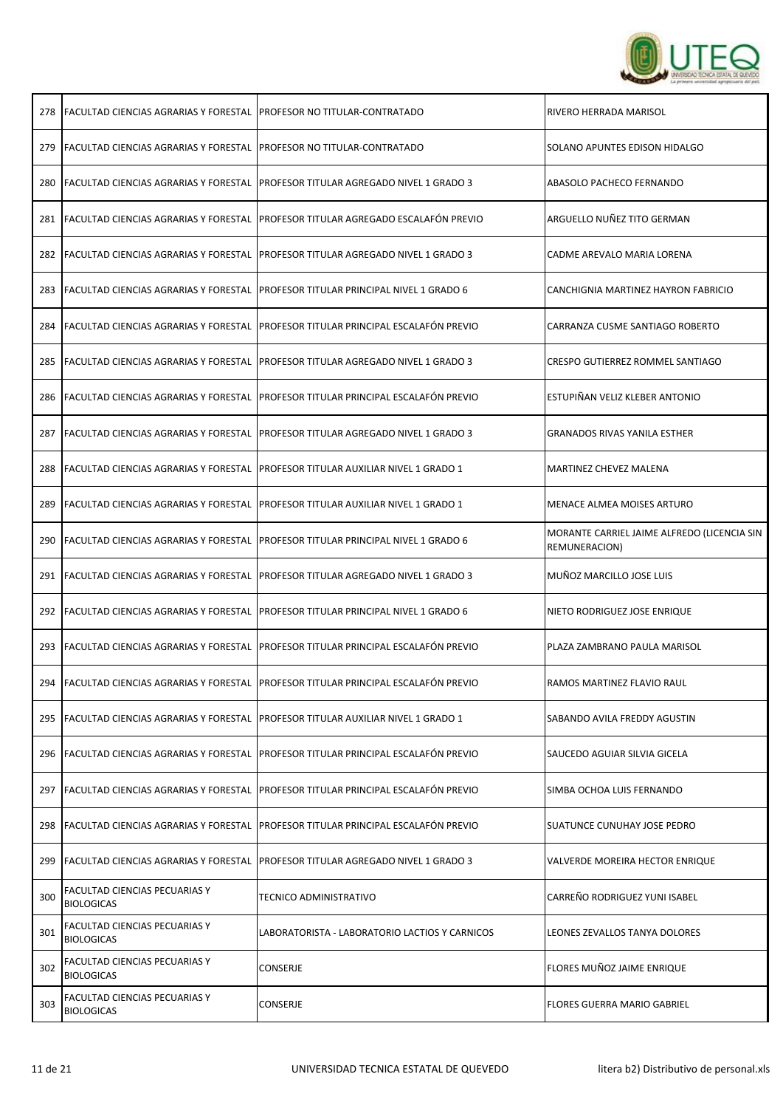

ï

| 278 | FACULTAD CIENCIAS AGRARIAS Y FORESTAL  PROFESOR NO TITULAR-CONTRATADO        |                                                                                           | RIVERO HERRADA MARISOL                                       |
|-----|------------------------------------------------------------------------------|-------------------------------------------------------------------------------------------|--------------------------------------------------------------|
|     | 279   FACULTAD CIENCIAS AGRARIAS Y FORESTAL   PROFESOR NO TITULAR-CONTRATADO |                                                                                           | SOLANO APUNTES EDISON HIDALGO                                |
| 280 |                                                                              | FACULTAD CIENCIAS AGRARIAS Y FORESTAL  PROFESOR TITULAR AGREGADO NIVEL 1 GRADO 3          | ABASOLO PACHECO FERNANDO                                     |
| 281 |                                                                              | FACULTAD CIENCIAS AGRARIAS Y FORESTAL PROFESOR TITULAR AGREGADO ESCALAFÓN PREVIO          | ARGUELLO NUÑEZ TITO GERMAN                                   |
| 282 | <b>FACULTAD CIENCIAS AGRARIAS Y FORESTAL</b>                                 | <b>PROFESOR TITULAR AGREGADO NIVEL 1 GRADO 3</b>                                          | CADME AREVALO MARIA LORENA                                   |
| 283 |                                                                              | <b>FACULTAD CIENCIAS AGRARIAS Y FORESTAL PROFESOR TITULAR PRINCIPAL NIVEL 1 GRADO 6</b>   | CANCHIGNIA MARTINEZ HAYRON FABRICIO                          |
| 284 |                                                                              | FACULTAD CIENCIAS AGRARIAS Y FORESTAL PROFESOR TITULAR PRINCIPAL ESCALAFÓN PREVIO         | CARRANZA CUSME SANTIAGO ROBERTO                              |
|     |                                                                              | 285   FACULTAD CIENCIAS AGRARIAS Y FORESTAL   PROFESOR TITULAR AGREGADO NIVEL 1 GRADO 3   | CRESPO GUTIERREZ ROMMEL SANTIAGO                             |
| 286 | <b>FACULTAD CIENCIAS AGRARIAS Y FORESTAL</b>                                 | <b>PROFESOR TITULAR PRINCIPAL ESCALAFÓN PREVIO</b>                                        | ESTUPIÑAN VELIZ KLEBER ANTONIO                               |
| 287 |                                                                              | FACULTAD CIENCIAS AGRARIAS Y FORESTAL  PROFESOR TITULAR AGREGADO NIVEL 1 GRADO 3          | GRANADOS RIVAS YANILA ESTHER                                 |
| 288 | FACULTAD CIENCIAS AGRARIAS Y FORESTAL                                        | <b>PROFESOR TITULAR AUXILIAR NIVEL 1 GRADO 1</b>                                          | <b>MARTINEZ CHEVEZ MALENA</b>                                |
| 289 | <b>FACULTAD CIENCIAS AGRARIAS Y FORESTAL</b>                                 | <b>PROFESOR TITULAR AUXILIAR NIVEL 1 GRADO 1</b>                                          | MENACE ALMEA MOISES ARTURO                                   |
| 290 |                                                                              | FACULTAD CIENCIAS AGRARIAS Y FORESTAL PROFESOR TITULAR PRINCIPAL NIVEL 1 GRADO 6          | MORANTE CARRIEL JAIME ALFREDO (LICENCIA SIN<br>REMUNERACION) |
| 291 | <b>FACULTAD CIENCIAS AGRARIAS Y FORESTAL</b>                                 | PROFESOR TITULAR AGREGADO NIVEL 1 GRADO 3                                                 | MUÑOZ MARCILLO JOSE LUIS                                     |
|     |                                                                              | 292 FACULTAD CIENCIAS AGRARIAS Y FORESTAL PROFESOR TITULAR PRINCIPAL NIVEL 1 GRADO 6      | NIETO RODRIGUEZ JOSE ENRIQUE                                 |
|     |                                                                              | 293   FACULTAD CIENCIAS AGRARIAS Y FORESTAL   PROFESOR TITULAR PRINCIPAL ESCALAFÓN PREVIO | PLAZA ZAMBRANO PAULA MARISOL                                 |
|     |                                                                              | 294 FACULTAD CIENCIAS AGRARIAS Y FORESTAL PROFESOR TITULAR PRINCIPAL ESCALAFÓN PREVIO     | RAMOS MARTINEZ FLAVIO RAUL                                   |
|     |                                                                              | 295 FACULTAD CIENCIAS AGRARIAS Y FORESTAL PROFESOR TITULAR AUXILIAR NIVEL 1 GRADO 1       | SABANDO AVILA FREDDY AGUSTIN                                 |
|     |                                                                              | 296 FACULTAD CIENCIAS AGRARIAS Y FORESTAL PROFESOR TITULAR PRINCIPAL ESCALAFÓN PREVIO     | SAUCEDO AGUIAR SILVIA GICELA                                 |
| 297 |                                                                              | FACULTAD CIENCIAS AGRARIAS Y FORESTAL   PROFESOR TITULAR PRINCIPAL ESCALAFÓN PREVIO       | SIMBA OCHOA LUIS FERNANDO                                    |
|     |                                                                              | 298 FACULTAD CIENCIAS AGRARIAS Y FORESTAL PROFESOR TITULAR PRINCIPAL ESCALAFÓN PREVIO     | SUATUNCE CUNUHAY JOSE PEDRO                                  |
| 299 |                                                                              | <b>FACULTAD CIENCIAS AGRARIAS Y FORESTAL PROFESOR TITULAR AGREGADO NIVEL 1 GRADO 3</b>    | VALVERDE MOREIRA HECTOR ENRIQUE                              |
| 300 | FACULTAD CIENCIAS PECUARIAS Y<br><b>BIOLOGICAS</b>                           | TECNICO ADMINISTRATIVO                                                                    | CARREÑO RODRIGUEZ YUNI ISABEL                                |
| 301 | FACULTAD CIENCIAS PECUARIAS Y<br><b>BIOLOGICAS</b>                           | LABORATORISTA - LABORATORIO LACTIOS Y CARNICOS                                            | LEONES ZEVALLOS TANYA DOLORES                                |
| 302 | FACULTAD CIENCIAS PECUARIAS Y<br><b>BIOLOGICAS</b>                           | CONSERJE                                                                                  | FLORES MUÑOZ JAIME ENRIQUE                                   |
| 303 | FACULTAD CIENCIAS PECUARIAS Y<br><b>BIOLOGICAS</b>                           | <b>CONSERJE</b>                                                                           | <b>FLORES GUERRA MARIO GABRIEL</b>                           |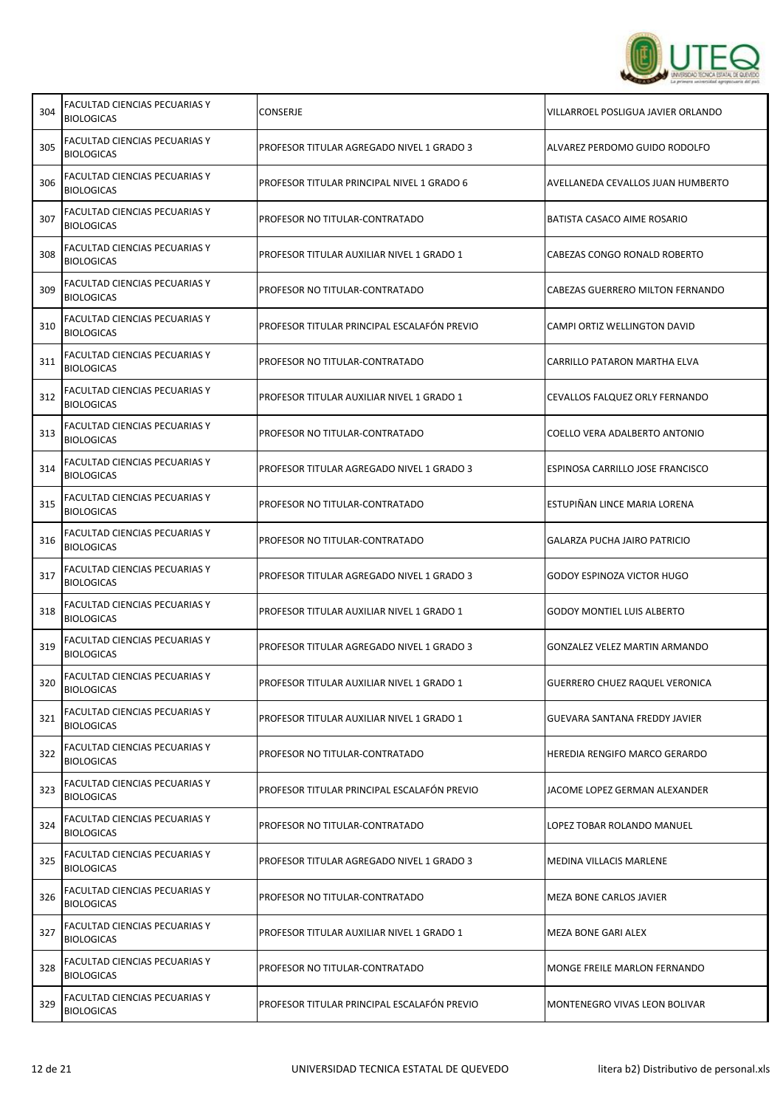

T

Ē.

| 304 | FACULTAD CIENCIAS PECUARIAS Y<br><b>BIOLOGICAS</b>        | CONSERJE                                    | VILLARROEL POSLIGUA JAVIER ORLANDO    |
|-----|-----------------------------------------------------------|---------------------------------------------|---------------------------------------|
| 305 | <b>FACULTAD CIENCIAS PECUARIAS Y</b><br><b>BIOLOGICAS</b> | PROFESOR TITULAR AGREGADO NIVEL 1 GRADO 3   | ALVAREZ PERDOMO GUIDO RODOLFO         |
| 306 | FACULTAD CIENCIAS PECUARIAS Y<br><b>BIOLOGICAS</b>        | PROFESOR TITULAR PRINCIPAL NIVEL 1 GRADO 6  | AVELLANEDA CEVALLOS JUAN HUMBERTO     |
| 307 | FACULTAD CIENCIAS PECUARIAS Y<br><b>BIOLOGICAS</b>        | PROFESOR NO TITULAR-CONTRATADO              | BATISTA CASACO AIME ROSARIO           |
| 308 | <b>FACULTAD CIENCIAS PECUARIAS Y</b><br><b>BIOLOGICAS</b> | PROFESOR TITULAR AUXILIAR NIVEL 1 GRADO 1   | CABEZAS CONGO RONALD ROBERTO          |
| 309 | FACULTAD CIENCIAS PECUARIAS Y<br><b>BIOLOGICAS</b>        | PROFESOR NO TITULAR-CONTRATADO              | CABEZAS GUERRERO MILTON FERNANDO      |
| 310 | FACULTAD CIENCIAS PECUARIAS Y<br><b>BIOLOGICAS</b>        | PROFESOR TITULAR PRINCIPAL ESCALAFÓN PREVIO | CAMPI ORTIZ WELLINGTON DAVID          |
| 311 | FACULTAD CIENCIAS PECUARIAS Y<br><b>BIOLOGICAS</b>        | PROFESOR NO TITULAR-CONTRATADO              | CARRILLO PATARON MARTHA ELVA          |
| 312 | <b>FACULTAD CIENCIAS PECUARIAS Y</b><br><b>BIOLOGICAS</b> | PROFESOR TITULAR AUXILIAR NIVEL 1 GRADO 1   | CEVALLOS FALQUEZ ORLY FERNANDO        |
| 313 | FACULTAD CIENCIAS PECUARIAS Y<br><b>BIOLOGICAS</b>        | PROFESOR NO TITULAR-CONTRATADO              | COELLO VERA ADALBERTO ANTONIO         |
| 314 | FACULTAD CIENCIAS PECUARIAS Y<br><b>BIOLOGICAS</b>        | PROFESOR TITULAR AGREGADO NIVEL 1 GRADO 3   | ESPINOSA CARRILLO JOSE FRANCISCO      |
| 315 | <b>FACULTAD CIENCIAS PECUARIAS Y</b><br><b>BIOLOGICAS</b> | PROFESOR NO TITULAR-CONTRATADO              | ESTUPIÑAN LINCE MARIA LORENA          |
| 316 | <b>FACULTAD CIENCIAS PECUARIAS Y</b><br><b>BIOLOGICAS</b> | PROFESOR NO TITULAR-CONTRATADO              | GALARZA PUCHA JAIRO PATRICIO          |
| 317 | FACULTAD CIENCIAS PECUARIAS Y<br><b>BIOLOGICAS</b>        | PROFESOR TITULAR AGREGADO NIVEL 1 GRADO 3   | <b>GODOY ESPINOZA VICTOR HUGO</b>     |
| 318 | FACULTAD CIENCIAS PECUARIAS Y<br><b>BIOLOGICAS</b>        | PROFESOR TITULAR AUXILIAR NIVEL 1 GRADO 1   | <b>GODOY MONTIEL LUIS ALBERTO</b>     |
| 319 | FACULTAD CIENCIAS PECUARIAS Y<br><b>BIOLOGICAS</b>        | PROFESOR TITULAR AGREGADO NIVEL 1 GRADO 3   | GONZALEZ VELEZ MARTIN ARMANDO         |
| 320 | FACULTAD CIENCIAS PECUARIAS Y<br><b>BIOLOGICAS</b>        | PROFESOR TITULAR AUXILIAR NIVEL 1 GRADO 1   | <b>GUERRERO CHUEZ RAQUEL VERONICA</b> |
| 321 | FACULTAD CIENCIAS PECUARIAS Y<br><b>BIOLOGICAS</b>        | PROFESOR TITULAR AUXILIAR NIVEL 1 GRADO 1   | GUEVARA SANTANA FREDDY JAVIER         |
| 322 | FACULTAD CIENCIAS PECUARIAS Y<br><b>BIOLOGICAS</b>        | PROFESOR NO TITULAR-CONTRATADO              | <b>HEREDIA RENGIFO MARCO GERARDO</b>  |
| 323 | FACULTAD CIENCIAS PECUARIAS Y<br><b>BIOLOGICAS</b>        | PROFESOR TITULAR PRINCIPAL ESCALAFÓN PREVIO | JACOME LOPEZ GERMAN ALEXANDER         |
| 324 | FACULTAD CIENCIAS PECUARIAS Y<br><b>BIOLOGICAS</b>        | PROFESOR NO TITULAR-CONTRATADO              | LOPEZ TOBAR ROLANDO MANUEL            |
| 325 | <b>FACULTAD CIENCIAS PECUARIAS Y</b><br><b>BIOLOGICAS</b> | PROFESOR TITULAR AGREGADO NIVEL 1 GRADO 3   | <b>MEDINA VILLACIS MARLENE</b>        |
| 326 | FACULTAD CIENCIAS PECUARIAS Y<br><b>BIOLOGICAS</b>        | PROFESOR NO TITULAR-CONTRATADO              | MEZA BONE CARLOS JAVIER               |
| 327 | FACULTAD CIENCIAS PECUARIAS Y<br><b>BIOLOGICAS</b>        | PROFESOR TITULAR AUXILIAR NIVEL 1 GRADO 1   | MEZA BONE GARI ALEX                   |
| 328 | FACULTAD CIENCIAS PECUARIAS Y<br><b>BIOLOGICAS</b>        | PROFESOR NO TITULAR-CONTRATADO              | MONGE FREILE MARLON FERNANDO          |
| 329 | FACULTAD CIENCIAS PECUARIAS Y<br><b>BIOLOGICAS</b>        | PROFESOR TITULAR PRINCIPAL ESCALAFÓN PREVIO | MONTENEGRO VIVAS LEON BOLIVAR         |

Г

 $\top$ 

┬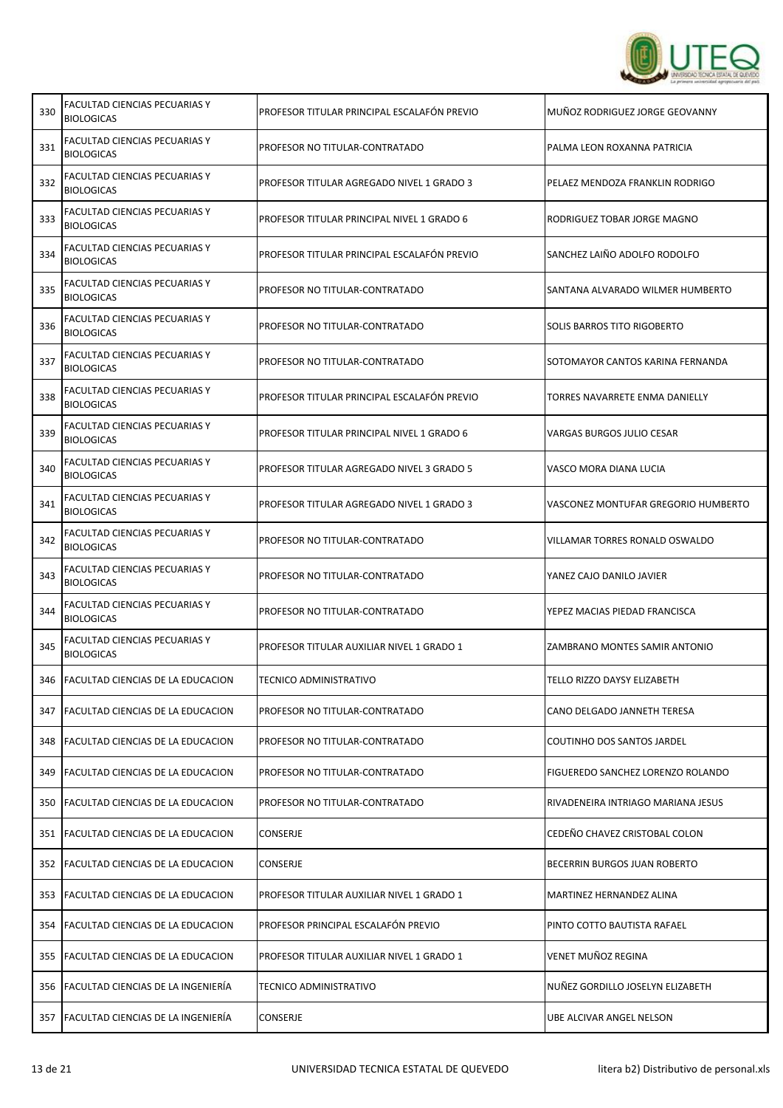

| 330 | FACULTAD CIENCIAS PECUARIAS Y<br><b>BIOLOGICAS</b>        | PROFESOR TITULAR PRINCIPAL ESCALAFÓN PREVIO | MUÑOZ RODRIGUEZ JORGE GEOVANNY      |
|-----|-----------------------------------------------------------|---------------------------------------------|-------------------------------------|
| 331 | <b>FACULTAD CIENCIAS PECUARIAS Y</b><br><b>BIOLOGICAS</b> | PROFESOR NO TITULAR-CONTRATADO              | PALMA LEON ROXANNA PATRICIA         |
| 332 | FACULTAD CIENCIAS PECUARIAS Y<br><b>BIOLOGICAS</b>        | PROFESOR TITULAR AGREGADO NIVEL 1 GRADO 3   | PELAEZ MENDOZA FRANKLIN RODRIGO     |
| 333 | FACULTAD CIENCIAS PECUARIAS Y<br><b>BIOLOGICAS</b>        | PROFESOR TITULAR PRINCIPAL NIVEL 1 GRADO 6  | RODRIGUEZ TOBAR JORGE MAGNO         |
| 334 | <b>FACULTAD CIENCIAS PECUARIAS Y</b><br><b>BIOLOGICAS</b> | PROFESOR TITULAR PRINCIPAL ESCALAFÓN PREVIO | SANCHEZ LAIÑO ADOLFO RODOLFO        |
| 335 | FACULTAD CIENCIAS PECUARIAS Y<br><b>BIOLOGICAS</b>        | PROFESOR NO TITULAR-CONTRATADO              | SANTANA ALVARADO WILMER HUMBERTO    |
| 336 | FACULTAD CIENCIAS PECUARIAS Y<br><b>BIOLOGICAS</b>        | PROFESOR NO TITULAR-CONTRATADO              | SOLIS BARROS TITO RIGOBERTO         |
| 337 | FACULTAD CIENCIAS PECUARIAS Y<br><b>BIOLOGICAS</b>        | PROFESOR NO TITULAR-CONTRATADO              | SOTOMAYOR CANTOS KARINA FERNANDA    |
| 338 | FACULTAD CIENCIAS PECUARIAS Y<br><b>BIOLOGICAS</b>        | PROFESOR TITULAR PRINCIPAL ESCALAFÓN PREVIO | TORRES NAVARRETE ENMA DANIELLY      |
| 339 | FACULTAD CIENCIAS PECUARIAS Y<br><b>BIOLOGICAS</b>        | PROFESOR TITULAR PRINCIPAL NIVEL 1 GRADO 6  | VARGAS BURGOS JULIO CESAR           |
| 340 | FACULTAD CIENCIAS PECUARIAS Y<br><b>BIOLOGICAS</b>        | PROFESOR TITULAR AGREGADO NIVEL 3 GRADO 5   | VASCO MORA DIANA LUCIA              |
| 341 | FACULTAD CIENCIAS PECUARIAS Y<br><b>BIOLOGICAS</b>        | PROFESOR TITULAR AGREGADO NIVEL 1 GRADO 3   | VASCONEZ MONTUFAR GREGORIO HUMBERTO |
| 342 | FACULTAD CIENCIAS PECUARIAS Y<br><b>BIOLOGICAS</b>        | PROFESOR NO TITULAR-CONTRATADO              | VILLAMAR TORRES RONALD OSWALDO      |
| 343 | FACULTAD CIENCIAS PECUARIAS Y<br><b>BIOLOGICAS</b>        | PROFESOR NO TITULAR-CONTRATADO              | YANEZ CAJO DANILO JAVIER            |
| 344 | FACULTAD CIENCIAS PECUARIAS Y<br><b>BIOLOGICAS</b>        | PROFESOR NO TITULAR-CONTRATADO              | YEPEZ MACIAS PIEDAD FRANCISCA       |
| 345 | FACULTAD CIENCIAS PECUARIAS Y<br><b>BIOLOGICAS</b>        | PROFESOR TITULAR AUXILIAR NIVEL 1 GRADO 1   | ZAMBRANO MONTES SAMIR ANTONIO       |
|     | 346   FACULTAD CIENCIAS DE LA EDUCACION                   | TECNICO ADMINISTRATIVO                      | <b>TELLO RIZZO DAYSY ELIZABETH</b>  |
|     | 347   FACULTAD CIENCIAS DE LA EDUCACION                   | PROFESOR NO TITULAR-CONTRATADO              | CANO DELGADO JANNETH TERESA         |
|     | 348   FACULTAD CIENCIAS DE LA EDUCACION                   | PROFESOR NO TITULAR-CONTRATADO              | COUTINHO DOS SANTOS JARDEL          |
| 349 | <b>FACULTAD CIENCIAS DE LA EDUCACION</b>                  | PROFESOR NO TITULAR-CONTRATADO              | FIGUEREDO SANCHEZ LORENZO ROLANDO   |
|     | 350 FACULTAD CIENCIAS DE LA EDUCACION                     | PROFESOR NO TITULAR-CONTRATADO              | RIVADENEIRA INTRIAGO MARIANA JESUS  |
|     | 351 FACULTAD CIENCIAS DE LA EDUCACION                     | <b>CONSERJE</b>                             | CEDEÑO CHAVEZ CRISTOBAL COLON       |
|     | 352   FACULTAD CIENCIAS DE LA EDUCACION                   | CONSERJE                                    | BECERRIN BURGOS JUAN ROBERTO        |
|     | 353   FACULTAD CIENCIAS DE LA EDUCACION                   | PROFESOR TITULAR AUXILIAR NIVEL 1 GRADO 1   | MARTINEZ HERNANDEZ ALINA            |
|     | 354   FACULTAD CIENCIAS DE LA EDUCACION                   | PROFESOR PRINCIPAL ESCALAFÓN PREVIO         | PINTO COTTO BAUTISTA RAFAEL         |
|     | 355   FACULTAD CIENCIAS DE LA EDUCACION                   | PROFESOR TITULAR AUXILIAR NIVEL 1 GRADO 1   | VENET MUÑOZ REGINA                  |
|     | 356   FACULTAD CIENCIAS DE LA INGENIERÍA                  | TECNICO ADMINISTRATIVO                      | NUÑEZ GORDILLO JOSELYN ELIZABETH    |
|     | 357   FACULTAD CIENCIAS DE LA INGENIERÍA                  | CONSERJE                                    | UBE ALCIVAR ANGEL NELSON            |

┱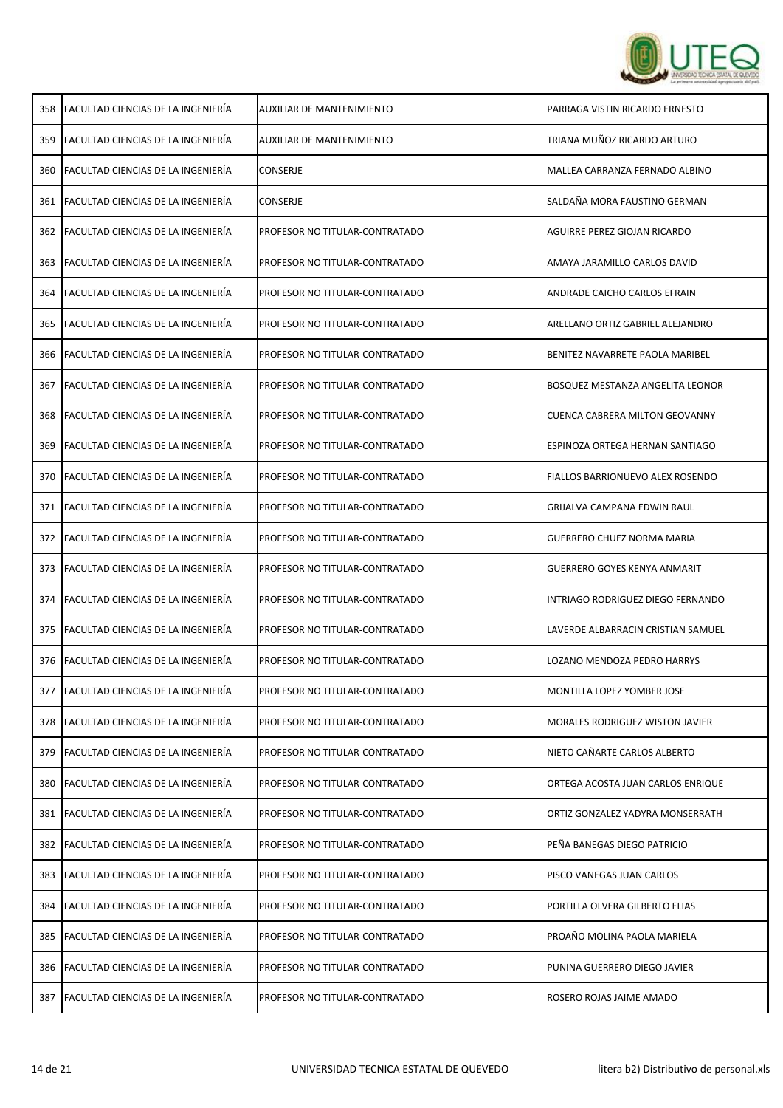

| 358 | <b>FACULTAD CIENCIAS DE LA INGENIERÍA</b> | AUXILIAR DE MANTENIMIENTO      | PARRAGA VISTIN RICARDO ERNESTO         |
|-----|-------------------------------------------|--------------------------------|----------------------------------------|
| 359 | FACULTAD CIENCIAS DE LA INGENIERÍA        | AUXILIAR DE MANTENIMIENTO      | TRIANA MUÑOZ RICARDO ARTURO            |
| 360 | FACULTAD CIENCIAS DE LA INGENIERÍA        | <b>CONSERJE</b>                | MALLEA CARRANZA FERNADO ALBINO         |
|     | 361 FACULTAD CIENCIAS DE LA INGENIERÍA    | CONSERJE                       | SALDAÑA MORA FAUSTINO GERMAN           |
| 362 | <b>FACULTAD CIENCIAS DE LA INGENIERÍA</b> | PROFESOR NO TITULAR-CONTRATADO | AGUIRRE PEREZ GIOJAN RICARDO           |
| 363 | FACULTAD CIENCIAS DE LA INGENIERÍA        | PROFESOR NO TITULAR-CONTRATADO | AMAYA JARAMILLO CARLOS DAVID           |
| 364 | <b>FACULTAD CIENCIAS DE LA INGENIERÍA</b> | PROFESOR NO TITULAR-CONTRATADO | ANDRADE CAICHO CARLOS EFRAIN           |
| 365 | <b>FACULTAD CIENCIAS DE LA INGENIERÍA</b> | PROFESOR NO TITULAR-CONTRATADO | ARELLANO ORTIZ GABRIEL ALEJANDRO       |
|     | 366 FACULTAD CIENCIAS DE LA INGENIERÍA    | PROFESOR NO TITULAR-CONTRATADO | BENITEZ NAVARRETE PAOLA MARIBEL        |
| 367 | lFACULTAD CIENCIAS DE LA INGENIERÍA       | PROFESOR NO TITULAR-CONTRATADO | BOSQUEZ MESTANZA ANGELITA LEONOR       |
|     | 368 FACULTAD CIENCIAS DE LA INGENIERÍA    | PROFESOR NO TITULAR-CONTRATADO | CUENCA CABRERA MILTON GEOVANNY         |
| 369 | <b>FACULTAD CIENCIAS DE LA INGENIERÍA</b> | PROFESOR NO TITULAR-CONTRATADO | ESPINOZA ORTEGA HERNAN SANTIAGO        |
| 370 | <b>FACULTAD CIENCIAS DE LA INGENIERÍA</b> | PROFESOR NO TITULAR-CONTRATADO | FIALLOS BARRIONUEVO ALEX ROSENDO       |
| 371 | FACULTAD CIENCIAS DE LA INGENIERÍA        | PROFESOR NO TITULAR-CONTRATADO | GRIJALVA CAMPANA EDWIN RAUL            |
| 372 | FACULTAD CIENCIAS DE LA INGENIERÍA        | PROFESOR NO TITULAR-CONTRATADO | <b>GUERRERO CHUEZ NORMA MARIA</b>      |
| 373 | <b>FACULTAD CIENCIAS DE LA INGENIERÍA</b> | PROFESOR NO TITULAR-CONTRATADO | GUERRERO GOYES KENYA ANMARIT           |
| 374 | <b>FACULTAD CIENCIAS DE LA INGENIERÍA</b> | PROFESOR NO TITULAR-CONTRATADO | INTRIAGO RODRIGUEZ DIEGO FERNANDO      |
| 375 | <b>FACULTAD CIENCIAS DE LA INGENIERÍA</b> | PROFESOR NO TITULAR-CONTRATADO | LAVERDE ALBARRACIN CRISTIAN SAMUEL     |
| 376 | FACULTAD CIENCIAS DE LA INGENIERÍA        | PROFESOR NO TITULAR-CONTRATADO | LOZANO MENDOZA PEDRO HARRYS            |
| 377 | <b>FACULTAD CIENCIAS DE LA INGENIERÍA</b> | PROFESOR NO TITULAR-CONTRATADO | MONTILLA LOPEZ YOMBER JOSE             |
| 378 | <b>FACULTAD CIENCIAS DE LA INGENIERÍA</b> | PROFESOR NO TITULAR-CONTRATADO | <b>MORALES RODRIGUEZ WISTON JAVIER</b> |
| 379 | FACULTAD CIENCIAS DE LA INGENIERÍA        | PROFESOR NO TITULAR-CONTRATADO | NIETO CAÑARTE CARLOS ALBERTO           |
| 380 | FACULTAD CIENCIAS DE LA INGENIERÍA        | PROFESOR NO TITULAR-CONTRATADO | ORTEGA ACOSTA JUAN CARLOS ENRIQUE      |
| 381 | FACULTAD CIENCIAS DE LA INGENIERÍA        | PROFESOR NO TITULAR-CONTRATADO | ORTIZ GONZALEZ YADYRA MONSERRATH       |
| 382 | FACULTAD CIENCIAS DE LA INGENIERÍA        | PROFESOR NO TITULAR-CONTRATADO | PEÑA BANEGAS DIEGO PATRICIO            |
| 383 | FACULTAD CIENCIAS DE LA INGENIERÍA        | PROFESOR NO TITULAR-CONTRATADO | PISCO VANEGAS JUAN CARLOS              |
| 384 | FACULTAD CIENCIAS DE LA INGENIERÍA        | PROFESOR NO TITULAR-CONTRATADO | PORTILLA OLVERA GILBERTO ELIAS         |
| 385 | <b>FACULTAD CIENCIAS DE LA INGENIERÍA</b> | PROFESOR NO TITULAR-CONTRATADO | PROAÑO MOLINA PAOLA MARIELA            |
| 386 | <b>FACULTAD CIENCIAS DE LA INGENIERÍA</b> | PROFESOR NO TITULAR-CONTRATADO | PUNINA GUERRERO DIEGO JAVIER           |
|     | 387   FACULTAD CIENCIAS DE LA INGENIERÍA  | PROFESOR NO TITULAR-CONTRATADO | ROSERO ROJAS JAIME AMADO               |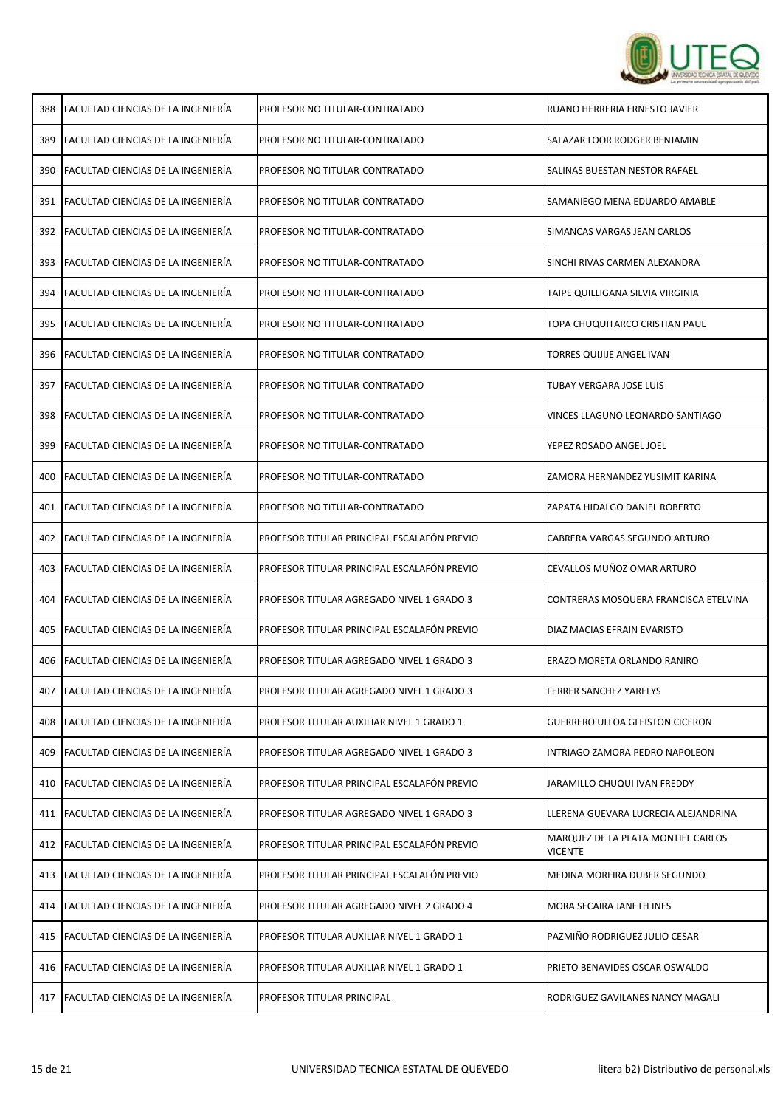

| 388 | <b>FACULTAD CIENCIAS DE LA INGENIERÍA</b> | PROFESOR NO TITULAR-CONTRATADO              | RUANO HERRERIA ERNESTO JAVIER                 |
|-----|-------------------------------------------|---------------------------------------------|-----------------------------------------------|
| 389 | <b>FACULTAD CIENCIAS DE LA INGENIERÍA</b> | PROFESOR NO TITULAR-CONTRATADO              | SALAZAR LOOR RODGER BENJAMIN                  |
| 390 | <b>FACULTAD CIENCIAS DE LA INGENIERÍA</b> | PROFESOR NO TITULAR-CONTRATADO              | SALINAS BUESTAN NESTOR RAFAEL                 |
|     | 391 FACULTAD CIENCIAS DE LA INGENIERÍA    | PROFESOR NO TITULAR-CONTRATADO              | SAMANIEGO MENA EDUARDO AMABLE                 |
| 392 | <b>FACULTAD CIENCIAS DE LA INGENIERÍA</b> | PROFESOR NO TITULAR-CONTRATADO              | SIMANCAS VARGAS JEAN CARLOS                   |
| 393 | FACULTAD CIENCIAS DE LA INGENIERÍA        | PROFESOR NO TITULAR-CONTRATADO              | SINCHI RIVAS CARMEN ALEXANDRA                 |
| 394 | FACULTAD CIENCIAS DE LA INGENIERÍA        | PROFESOR NO TITULAR-CONTRATADO              | TAIPE QUILLIGANA SILVIA VIRGINIA              |
| 395 | FACULTAD CIENCIAS DE LA INGENIERÍA        | PROFESOR NO TITULAR-CONTRATADO              | TOPA CHUQUITARCO CRISTIAN PAUL                |
| 396 | FACULTAD CIENCIAS DE LA INGENIERÍA        | PROFESOR NO TITULAR-CONTRATADO              | TORRES QUIJIJE ANGEL IVAN                     |
| 397 | FACULTAD CIENCIAS DE LA INGENIERÍA        | PROFESOR NO TITULAR-CONTRATADO              | TUBAY VERGARA JOSE LUIS                       |
| 398 | FACULTAD CIENCIAS DE LA INGENIERÍA        | PROFESOR NO TITULAR-CONTRATADO              | VINCES LLAGUNO LEONARDO SANTIAGO              |
| 399 | <b>FACULTAD CIENCIAS DE LA INGENIERÍA</b> | PROFESOR NO TITULAR-CONTRATADO              | YEPEZ ROSADO ANGEL JOEL                       |
| 400 | FACULTAD CIENCIAS DE LA INGENIERÍA        | PROFESOR NO TITULAR-CONTRATADO              | ZAMORA HERNANDEZ YUSIMIT KARINA               |
| 401 | FACULTAD CIENCIAS DE LA INGENIERÍA        | PROFESOR NO TITULAR-CONTRATADO              | ZAPATA HIDALGO DANIEL ROBERTO                 |
| 402 | FACULTAD CIENCIAS DE LA INGENIERÍA        | PROFESOR TITULAR PRINCIPAL ESCALAFÓN PREVIO | CABRERA VARGAS SEGUNDO ARTURO                 |
| 403 | FACULTAD CIENCIAS DE LA INGENIERÍA        | PROFESOR TITULAR PRINCIPAL ESCALAFÓN PREVIO | CEVALLOS MUÑOZ OMAR ARTURO                    |
|     | 404 FACULTAD CIENCIAS DE LA INGENIERÍA    | PROFESOR TITULAR AGREGADO NIVEL 1 GRADO 3   | CONTRERAS MOSQUERA FRANCISCA ETELVINA         |
| 405 | <b>FACULTAD CIENCIAS DE LA INGENIERÍA</b> | PROFESOR TITULAR PRINCIPAL ESCALAFÓN PREVIO | DIAZ MACIAS EFRAIN EVARISTO                   |
| 406 | FACULTAD CIENCIAS DE LA INGENIERÍA        | PROFESOR TITULAR AGREGADO NIVEL 1 GRADO 3   | ERAZO MORETA ORLANDO RANIRO                   |
| 407 | FACULTAD CIENCIAS DE LA INGENIERÍA        | PROFESOR TITULAR AGREGADO NIVEL 1 GRADO 3   | FERRER SANCHEZ YARELYS                        |
|     | 408 FACULTAD CIENCIAS DE LA INGENIERÍA    | PROFESOR TITULAR AUXILIAR NIVEL 1 GRADO 1   | <b>GUERRERO ULLOA GLEISTON CICERON</b>        |
| 409 | <b>FACULTAD CIENCIAS DE LA INGENIERÍA</b> | PROFESOR TITULAR AGREGADO NIVEL 1 GRADO 3   | INTRIAGO ZAMORA PEDRO NAPOLEON                |
| 410 | FACULTAD CIENCIAS DE LA INGENIERÍA        | PROFESOR TITULAR PRINCIPAL ESCALAFÓN PREVIO | JARAMILLO CHUQUI IVAN FREDDY                  |
| 411 | FACULTAD CIENCIAS DE LA INGENIERÍA        | PROFESOR TITULAR AGREGADO NIVEL 1 GRADO 3   | LLERENA GUEVARA LUCRECIA ALEJANDRINA          |
|     | 412 FACULTAD CIENCIAS DE LA INGENIERÍA    | PROFESOR TITULAR PRINCIPAL ESCALAFÓN PREVIO | MARQUEZ DE LA PLATA MONTIEL CARLOS<br>VICENTE |
|     | 413 FACULTAD CIENCIAS DE LA INGENIERÍA    | PROFESOR TITULAR PRINCIPAL ESCALAFÓN PREVIO | MEDINA MOREIRA DUBER SEGUNDO                  |
|     | 414 FACULTAD CIENCIAS DE LA INGENIERÍA    | PROFESOR TITULAR AGREGADO NIVEL 2 GRADO 4   | MORA SECAIRA JANETH INES                      |
|     | 415 FACULTAD CIENCIAS DE LA INGENIERÍA    | PROFESOR TITULAR AUXILIAR NIVEL 1 GRADO 1   | PAZMIÑO RODRIGUEZ JULIO CESAR                 |
|     | 416 FACULTAD CIENCIAS DE LA INGENIERÍA    | PROFESOR TITULAR AUXILIAR NIVEL 1 GRADO 1   | PRIETO BENAVIDES OSCAR OSWALDO                |
|     | 417 FACULTAD CIENCIAS DE LA INGENIERÍA    | PROFESOR TITULAR PRINCIPAL                  | RODRIGUEZ GAVILANES NANCY MAGALI              |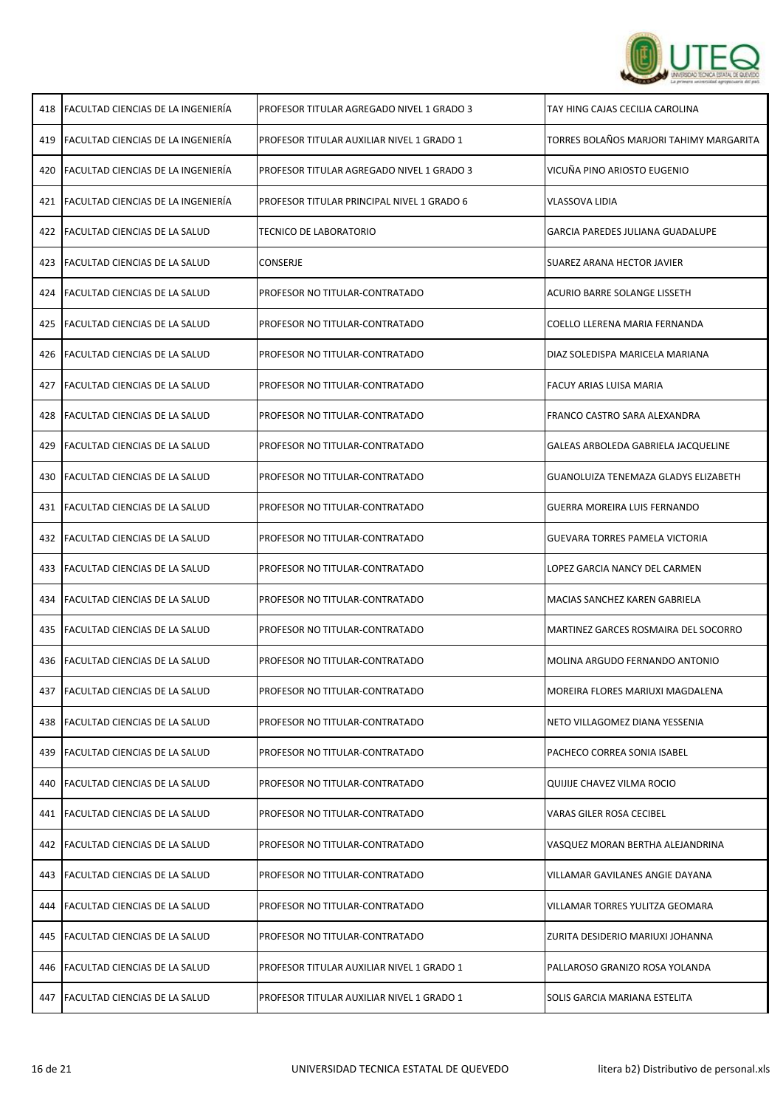

|     | 418   FACULTAD CIENCIAS DE LA INGENIERÍA  | PROFESOR TITULAR AGREGADO NIVEL 1 GRADO 3  | TAY HING CAJAS CECILIA CAROLINA         |
|-----|-------------------------------------------|--------------------------------------------|-----------------------------------------|
| 419 | FACULTAD CIENCIAS DE LA INGENIERÍA        | PROFESOR TITULAR AUXILIAR NIVEL 1 GRADO 1  | TORRES BOLAÑOS MARJORI TAHIMY MARGARITA |
| 420 | FACULTAD CIENCIAS DE LA INGENIERÍA        | PROFESOR TITULAR AGREGADO NIVEL 1 GRADO 3  | VICUÑA PINO ARIOSTO EUGENIO             |
| 421 | <b>FACULTAD CIENCIAS DE LA INGENIERÍA</b> | PROFESOR TITULAR PRINCIPAL NIVEL 1 GRADO 6 | <b>VLASSOVA LIDIA</b>                   |
| 422 | <b>FACULTAD CIENCIAS DE LA SALUD</b>      | <b>TECNICO DE LABORATORIO</b>              | <b>GARCIA PAREDES JULIANA GUADALUPE</b> |
|     | 423   FACULTAD CIENCIAS DE LA SALUD       | <b>CONSERJE</b>                            | SUAREZ ARANA HECTOR JAVIER              |
|     | 424 FACULTAD CIENCIAS DE LA SALUD         | PROFESOR NO TITULAR-CONTRATADO             | ACURIO BARRE SOLANGE LISSETH            |
|     | 425 FACULTAD CIENCIAS DE LA SALUD         | PROFESOR NO TITULAR-CONTRATADO             | COELLO LLERENA MARIA FERNANDA           |
|     | 426 FACULTAD CIENCIAS DE LA SALUD         | PROFESOR NO TITULAR-CONTRATADO             | DIAZ SOLEDISPA MARICELA MARIANA         |
|     | 427 FACULTAD CIENCIAS DE LA SALUD         | PROFESOR NO TITULAR-CONTRATADO             | FACUY ARIAS LUISA MARIA                 |
|     | 428   FACULTAD CIENCIAS DE LA SALUD       | PROFESOR NO TITULAR-CONTRATADO             | FRANCO CASTRO SARA ALEXANDRA            |
|     | 429   FACULTAD CIENCIAS DE LA SALUD       | PROFESOR NO TITULAR-CONTRATADO             | GALEAS ARBOLEDA GABRIELA JACQUELINE     |
| 430 | <b>FACULTAD CIENCIAS DE LA SALUD</b>      | PROFESOR NO TITULAR-CONTRATADO             | GUANOLUIZA TENEMAZA GLADYS ELIZABETH    |
| 431 | <b>FACULTAD CIENCIAS DE LA SALUD</b>      | PROFESOR NO TITULAR-CONTRATADO             | GUERRA MOREIRA LUIS FERNANDO            |
| 432 | <b>FACULTAD CIENCIAS DE LA SALUD</b>      | PROFESOR NO TITULAR-CONTRATADO             | <b>GUEVARA TORRES PAMELA VICTORIA</b>   |
|     | 433   FACULTAD CIENCIAS DE LA SALUD       | PROFESOR NO TITULAR-CONTRATADO             | LOPEZ GARCIA NANCY DEL CARMEN           |
| 434 | FACULTAD CIENCIAS DE LA SALUD             | PROFESOR NO TITULAR-CONTRATADO             | MACIAS SANCHEZ KAREN GABRIELA           |
|     | 435 FACULTAD CIENCIAS DE LA SALUD         | PROFESOR NO TITULAR-CONTRATADO             | MARTINEZ GARCES ROSMAIRA DEL SOCORRO    |
|     | 436 FACULTAD CIENCIAS DE LA SALUD         | PROFESOR NO TITULAR-CONTRATADO             | MOLINA ARGUDO FERNANDO ANTONIO          |
|     | 437 FACULTAD CIENCIAS DE LA SALUD         | PROFESOR NO TITULAR-CONTRATADO             | MOREIRA FLORES MARIUXI MAGDALENA        |
| 438 | <b>FACULTAD CIENCIAS DE LA SALUD</b>      | PROFESOR NO TITULAR-CONTRATADO             | NETO VILLAGOMEZ DIANA YESSENIA          |
| 439 | FACULTAD CIENCIAS DE LA SALUD             | PROFESOR NO TITULAR-CONTRATADO             | PACHECO CORREA SONIA ISABEL             |
| 440 | FACULTAD CIENCIAS DE LA SALUD             | PROFESOR NO TITULAR-CONTRATADO             | QUIJIJE CHAVEZ VILMA ROCIO              |
| 441 | <b>FACULTAD CIENCIAS DE LA SALUD</b>      | PROFESOR NO TITULAR-CONTRATADO             | VARAS GILER ROSA CECIBEL                |
| 442 | <b>FACULTAD CIENCIAS DE LA SALUD</b>      | PROFESOR NO TITULAR-CONTRATADO             | VASQUEZ MORAN BERTHA ALEJANDRINA        |
| 443 | <b>FACULTAD CIENCIAS DE LA SALUD</b>      | PROFESOR NO TITULAR-CONTRATADO             | VILLAMAR GAVILANES ANGIE DAYANA         |
| 444 | <b>FACULTAD CIENCIAS DE LA SALUD</b>      | PROFESOR NO TITULAR-CONTRATADO             | VILLAMAR TORRES YULITZA GEOMARA         |
|     | 445   FACULTAD CIENCIAS DE LA SALUD       | PROFESOR NO TITULAR-CONTRATADO             | ZURITA DESIDERIO MARIUXI JOHANNA        |
|     | 446   FACULTAD CIENCIAS DE LA SALUD       | PROFESOR TITULAR AUXILIAR NIVEL 1 GRADO 1  | PALLAROSO GRANIZO ROSA YOLANDA          |
|     | 447 FACULTAD CIENCIAS DE LA SALUD         | PROFESOR TITULAR AUXILIAR NIVEL 1 GRADO 1  | SOLIS GARCIA MARIANA ESTELITA           |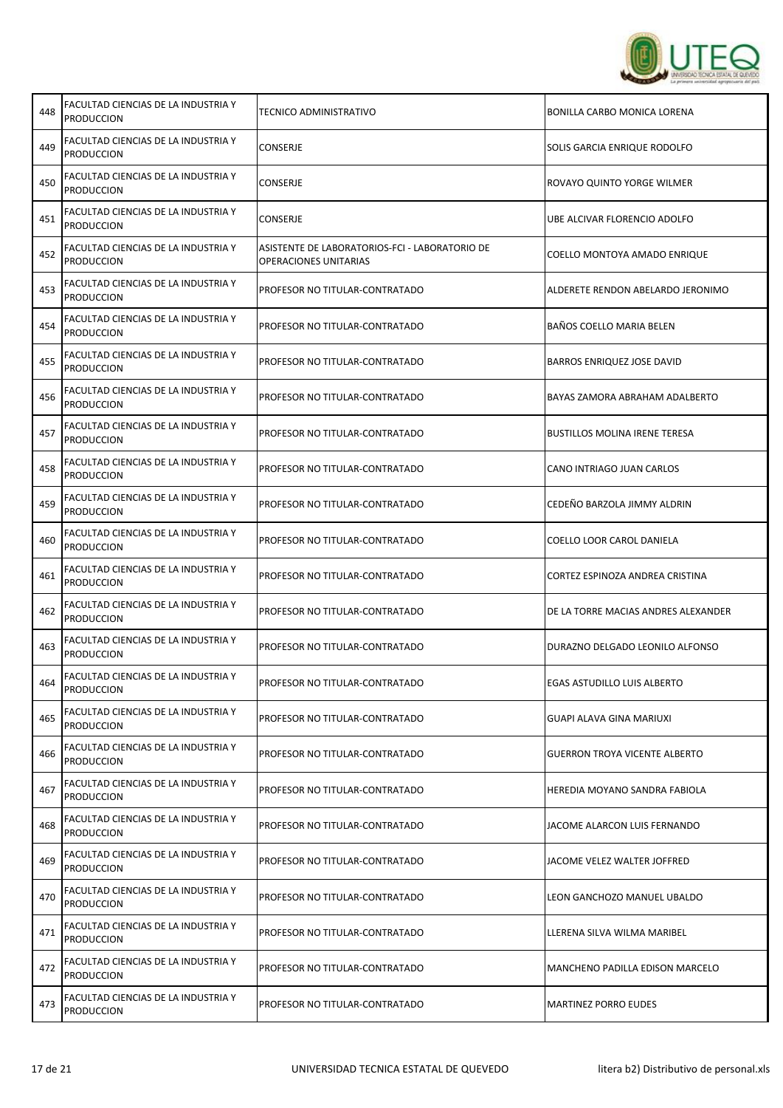

| 448 | FACULTAD CIENCIAS DE LA INDUSTRIA Y<br><b>PRODUCCION</b> | TECNICO ADMINISTRATIVO                                                  | BONILLA CARBO MONICA LORENA          |
|-----|----------------------------------------------------------|-------------------------------------------------------------------------|--------------------------------------|
| 449 | FACULTAD CIENCIAS DE LA INDUSTRIA Y<br><b>PRODUCCION</b> | CONSERJE                                                                | SOLIS GARCIA ENRIQUE RODOLFO         |
| 450 | FACULTAD CIENCIAS DE LA INDUSTRIA Y<br><b>PRODUCCION</b> | <b>CONSERJE</b>                                                         | ROVAYO QUINTO YORGE WILMER           |
| 451 | FACULTAD CIENCIAS DE LA INDUSTRIA Y<br><b>PRODUCCION</b> | CONSERJE                                                                | UBE ALCIVAR FLORENCIO ADOLFO         |
| 452 | FACULTAD CIENCIAS DE LA INDUSTRIA Y<br><b>PRODUCCION</b> | ASISTENTE DE LABORATORIOS-FCI - LABORATORIO DE<br>OPERACIONES UNITARIAS | COELLO MONTOYA AMADO ENRIQUE         |
| 453 | FACULTAD CIENCIAS DE LA INDUSTRIA Y<br><b>PRODUCCION</b> | PROFESOR NO TITULAR-CONTRATADO                                          | ALDERETE RENDON ABELARDO JERONIMO    |
| 454 | FACULTAD CIENCIAS DE LA INDUSTRIA Y<br><b>PRODUCCION</b> | PROFESOR NO TITULAR-CONTRATADO                                          | BAÑOS COELLO MARIA BELEN             |
| 455 | FACULTAD CIENCIAS DE LA INDUSTRIA Y<br><b>PRODUCCION</b> | PROFESOR NO TITULAR-CONTRATADO                                          | <b>BARROS ENRIQUEZ JOSE DAVID</b>    |
| 456 | FACULTAD CIENCIAS DE LA INDUSTRIA Y<br><b>PRODUCCION</b> | PROFESOR NO TITULAR-CONTRATADO                                          | BAYAS ZAMORA ABRAHAM ADALBERTO       |
| 457 | FACULTAD CIENCIAS DE LA INDUSTRIA Y<br><b>PRODUCCION</b> | PROFESOR NO TITULAR-CONTRATADO                                          | <b>BUSTILLOS MOLINA IRENE TERESA</b> |
| 458 | FACULTAD CIENCIAS DE LA INDUSTRIA Y<br><b>PRODUCCION</b> | PROFESOR NO TITULAR-CONTRATADO                                          | CANO INTRIAGO JUAN CARLOS            |
| 459 | FACULTAD CIENCIAS DE LA INDUSTRIA Y<br><b>PRODUCCION</b> | PROFESOR NO TITULAR-CONTRATADO                                          | CEDEÑO BARZOLA JIMMY ALDRIN          |
| 460 | FACULTAD CIENCIAS DE LA INDUSTRIA Y<br><b>PRODUCCION</b> | PROFESOR NO TITULAR-CONTRATADO                                          | COELLO LOOR CAROL DANIELA            |
| 461 | FACULTAD CIENCIAS DE LA INDUSTRIA Y<br><b>PRODUCCION</b> | PROFESOR NO TITULAR-CONTRATADO                                          | CORTEZ ESPINOZA ANDREA CRISTINA      |
| 462 | FACULTAD CIENCIAS DE LA INDUSTRIA Y<br><b>PRODUCCION</b> | PROFESOR NO TITULAR-CONTRATADO                                          | DE LA TORRE MACIAS ANDRES ALEXANDER  |
| 463 | FACULTAD CIENCIAS DE LA INDUSTRIA Y<br><b>PRODUCCION</b> | PROFESOR NO TITULAR-CONTRATADO                                          | DURAZNO DELGADO LEONILO ALFONSO      |
| 464 | FACULTAD CIENCIAS DE LA INDUSTRIA Y<br>PRODUCCION        | PROFESOR NO TITULAR-CONTRATADO                                          | EGAS ASTUDILLO LUIS ALBERTO          |
| 465 | FACULTAD CIENCIAS DE LA INDUSTRIA Y<br><b>PRODUCCION</b> | PROFESOR NO TITULAR-CONTRATADO                                          | GUAPI ALAVA GINA MARIUXI             |
| 466 | FACULTAD CIENCIAS DE LA INDUSTRIA Y<br><b>PRODUCCION</b> | PROFESOR NO TITULAR-CONTRATADO                                          | <b>GUERRON TROYA VICENTE ALBERTO</b> |
| 467 | FACULTAD CIENCIAS DE LA INDUSTRIA Y<br><b>PRODUCCION</b> | PROFESOR NO TITULAR-CONTRATADO                                          | HEREDIA MOYANO SANDRA FABIOLA        |
| 468 | FACULTAD CIENCIAS DE LA INDUSTRIA Y<br><b>PRODUCCION</b> | PROFESOR NO TITULAR-CONTRATADO                                          | JACOME ALARCON LUIS FERNANDO         |
| 469 | FACULTAD CIENCIAS DE LA INDUSTRIA Y<br><b>PRODUCCION</b> | PROFESOR NO TITULAR-CONTRATADO                                          | JACOME VELEZ WALTER JOFFRED          |
| 470 | FACULTAD CIENCIAS DE LA INDUSTRIA Y<br><b>PRODUCCION</b> | PROFESOR NO TITULAR-CONTRATADO                                          | LEON GANCHOZO MANUEL UBALDO          |
| 471 | FACULTAD CIENCIAS DE LA INDUSTRIA Y<br><b>PRODUCCION</b> | PROFESOR NO TITULAR-CONTRATADO                                          | LLERENA SILVA WILMA MARIBEL          |
| 472 | FACULTAD CIENCIAS DE LA INDUSTRIA Y<br><b>PRODUCCION</b> | PROFESOR NO TITULAR-CONTRATADO                                          | MANCHENO PADILLA EDISON MARCELO      |
| 473 | FACULTAD CIENCIAS DE LA INDUSTRIA Y<br><b>PRODUCCION</b> | PROFESOR NO TITULAR-CONTRATADO                                          | <b>MARTINEZ PORRO EUDES</b>          |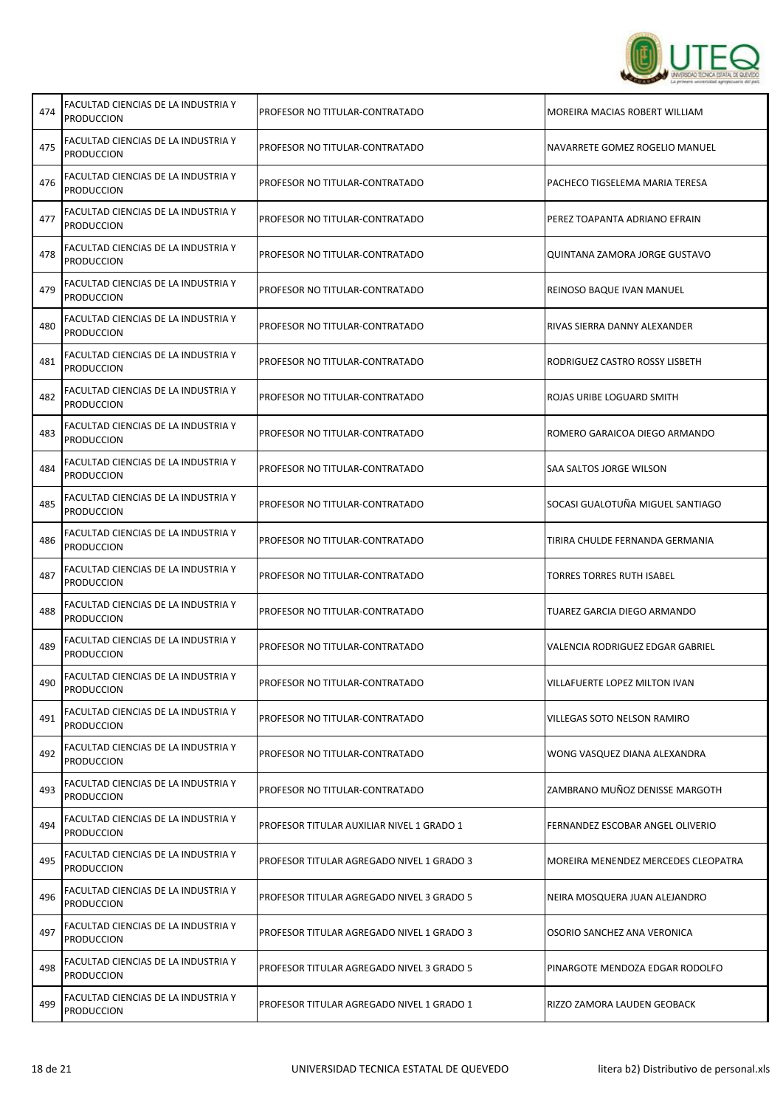

ï

| 474 | FACULTAD CIENCIAS DE LA INDUSTRIA Y<br><b>PRODUCCION</b> | PROFESOR NO TITULAR-CONTRATADO            | MOREIRA MACIAS ROBERT WILLIAM       |
|-----|----------------------------------------------------------|-------------------------------------------|-------------------------------------|
| 475 | FACULTAD CIENCIAS DE LA INDUSTRIA Y<br><b>PRODUCCION</b> | PROFESOR NO TITULAR-CONTRATADO            | NAVARRETE GOMEZ ROGELIO MANUEL      |
| 476 | FACULTAD CIENCIAS DE LA INDUSTRIA Y<br><b>PRODUCCION</b> | PROFESOR NO TITULAR-CONTRATADO            | PACHECO TIGSELEMA MARIA TERESA      |
| 477 | FACULTAD CIENCIAS DE LA INDUSTRIA Y<br><b>PRODUCCION</b> | PROFESOR NO TITULAR-CONTRATADO            | PEREZ TOAPANTA ADRIANO EFRAIN       |
| 478 | FACULTAD CIENCIAS DE LA INDUSTRIA Y<br><b>PRODUCCION</b> | PROFESOR NO TITULAR-CONTRATADO            | QUINTANA ZAMORA JORGE GUSTAVO       |
| 479 | FACULTAD CIENCIAS DE LA INDUSTRIA Y<br><b>PRODUCCION</b> | PROFESOR NO TITULAR-CONTRATADO            | REINOSO BAQUE IVAN MANUEL           |
| 480 | FACULTAD CIENCIAS DE LA INDUSTRIA Y<br><b>PRODUCCION</b> | PROFESOR NO TITULAR-CONTRATADO            | RIVAS SIERRA DANNY ALEXANDER        |
| 481 | FACULTAD CIENCIAS DE LA INDUSTRIA Y<br><b>PRODUCCION</b> | PROFESOR NO TITULAR-CONTRATADO            | RODRIGUEZ CASTRO ROSSY LISBETH      |
| 482 | FACULTAD CIENCIAS DE LA INDUSTRIA Y<br><b>PRODUCCION</b> | PROFESOR NO TITULAR-CONTRATADO            | ROJAS URIBE LOGUARD SMITH           |
| 483 | FACULTAD CIENCIAS DE LA INDUSTRIA Y<br><b>PRODUCCION</b> | PROFESOR NO TITULAR-CONTRATADO            | ROMERO GARAICOA DIEGO ARMANDO       |
| 484 | FACULTAD CIENCIAS DE LA INDUSTRIA Y<br><b>PRODUCCION</b> | PROFESOR NO TITULAR-CONTRATADO            | SAA SALTOS JORGE WILSON             |
| 485 | FACULTAD CIENCIAS DE LA INDUSTRIA Y<br><b>PRODUCCION</b> | PROFESOR NO TITULAR-CONTRATADO            | SOCASI GUALOTUÑA MIGUEL SANTIAGO    |
| 486 | FACULTAD CIENCIAS DE LA INDUSTRIA Y<br><b>PRODUCCION</b> | PROFESOR NO TITULAR-CONTRATADO            | TIRIRA CHULDE FERNANDA GERMANIA     |
| 487 | FACULTAD CIENCIAS DE LA INDUSTRIA Y<br><b>PRODUCCION</b> | PROFESOR NO TITULAR-CONTRATADO            | TORRES TORRES RUTH ISABEL           |
| 488 | FACULTAD CIENCIAS DE LA INDUSTRIA Y<br><b>PRODUCCION</b> | PROFESOR NO TITULAR-CONTRATADO            | TUAREZ GARCIA DIEGO ARMANDO         |
| 489 | FACULTAD CIENCIAS DE LA INDUSTRIA Y<br><b>PRODUCCION</b> | PROFESOR NO TITULAR-CONTRATADO            | VALENCIA RODRIGUEZ EDGAR GABRIEL    |
| 490 | FACULTAD CIENCIAS DE LA INDUSTRIA Y<br><b>PRODUCCION</b> | PROFESOR NO TITULAR-CONTRATADO            | VILLAFUERTE LOPEZ MILTON IVAN       |
| 491 | FACULTAD CIENCIAS DE LA INDUSTRIA Y<br><b>PRODUCCION</b> | PROFESOR NO TITULAR-CONTRATADO            | <b>VILLEGAS SOTO NELSON RAMIRO</b>  |
| 492 | FACULTAD CIENCIAS DE LA INDUSTRIA Y<br><b>PRODUCCION</b> | PROFESOR NO TITULAR-CONTRATADO            | WONG VASQUEZ DIANA ALEXANDRA        |
| 493 | FACULTAD CIENCIAS DE LA INDUSTRIA Y<br><b>PRODUCCION</b> | PROFESOR NO TITULAR-CONTRATADO            | ZAMBRANO MUÑOZ DENISSE MARGOTH      |
| 494 | FACULTAD CIENCIAS DE LA INDUSTRIA Y<br><b>PRODUCCION</b> | PROFESOR TITULAR AUXILIAR NIVEL 1 GRADO 1 | FERNANDEZ ESCOBAR ANGEL OLIVERIO    |
| 495 | FACULTAD CIENCIAS DE LA INDUSTRIA Y<br><b>PRODUCCION</b> | PROFESOR TITULAR AGREGADO NIVEL 1 GRADO 3 | MOREIRA MENENDEZ MERCEDES CLEOPATRA |
| 496 | FACULTAD CIENCIAS DE LA INDUSTRIA Y<br><b>PRODUCCION</b> | PROFESOR TITULAR AGREGADO NIVEL 3 GRADO 5 | NEIRA MOSQUERA JUAN ALEJANDRO       |
| 497 | FACULTAD CIENCIAS DE LA INDUSTRIA Y<br><b>PRODUCCION</b> | PROFESOR TITULAR AGREGADO NIVEL 1 GRADO 3 | OSORIO SANCHEZ ANA VERONICA         |
| 498 | FACULTAD CIENCIAS DE LA INDUSTRIA Y<br><b>PRODUCCION</b> | PROFESOR TITULAR AGREGADO NIVEL 3 GRADO 5 | PINARGOTE MENDOZA EDGAR RODOLFO     |
| 499 | FACULTAD CIENCIAS DE LA INDUSTRIA Y<br><b>PRODUCCION</b> | PROFESOR TITULAR AGREGADO NIVEL 1 GRADO 1 | RIZZO ZAMORA LAUDEN GEOBACK         |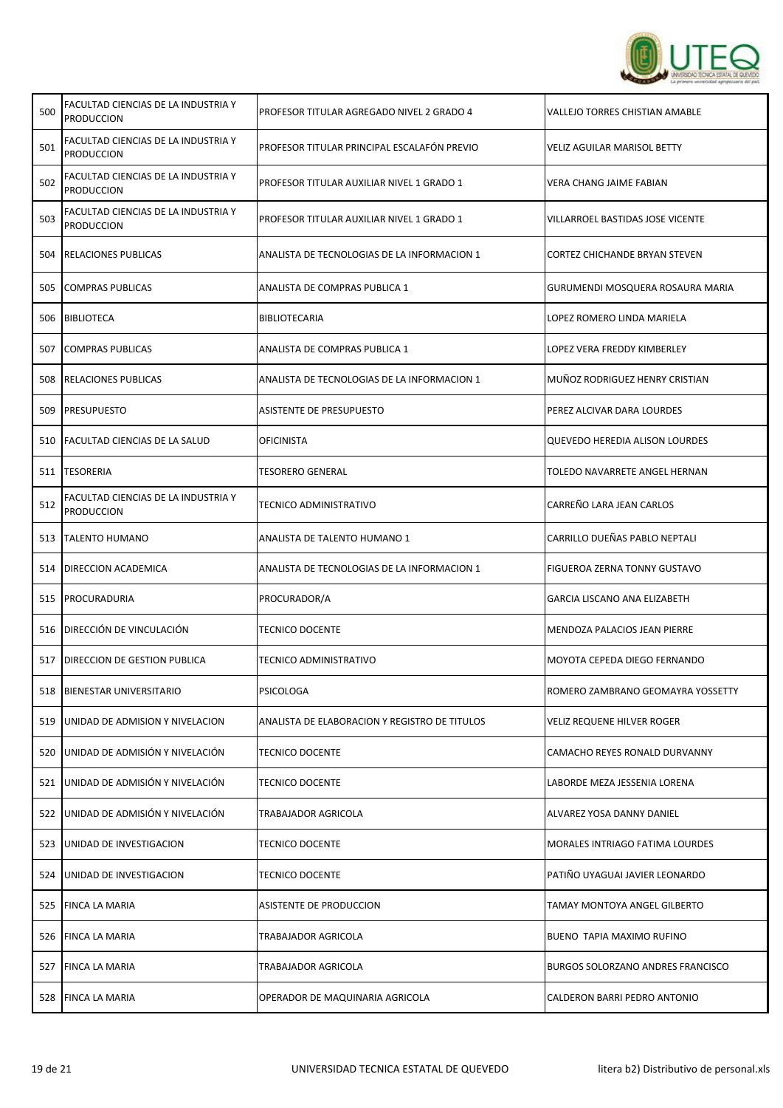

| 500 | FACULTAD CIENCIAS DE LA INDUSTRIA Y<br><b>PRODUCCION</b> | PROFESOR TITULAR AGREGADO NIVEL 2 GRADO 4     | <b>VALLEJO TORRES CHISTIAN AMABLE</b>    |
|-----|----------------------------------------------------------|-----------------------------------------------|------------------------------------------|
| 501 | FACULTAD CIENCIAS DE LA INDUSTRIA Y<br><b>PRODUCCION</b> | PROFESOR TITULAR PRINCIPAL ESCALAFÓN PREVIO   | <b>VELIZ AGUILAR MARISOL BETTY</b>       |
| 502 | FACULTAD CIENCIAS DE LA INDUSTRIA Y<br><b>PRODUCCION</b> | PROFESOR TITULAR AUXILIAR NIVEL 1 GRADO 1     | <b>VERA CHANG JAIME FABIAN</b>           |
| 503 | FACULTAD CIENCIAS DE LA INDUSTRIA Y<br><b>PRODUCCION</b> | PROFESOR TITULAR AUXILIAR NIVEL 1 GRADO 1     | VILLARROEL BASTIDAS JOSE VICENTE         |
| 504 | <b>RELACIONES PUBLICAS</b>                               | ANALISTA DE TECNOLOGIAS DE LA INFORMACION 1   | <b>CORTEZ CHICHANDE BRYAN STEVEN</b>     |
| 505 | <b>COMPRAS PUBLICAS</b>                                  | ANALISTA DE COMPRAS PUBLICA 1                 | GURUMENDI MOSQUERA ROSAURA MARIA         |
| 506 | <b>BIBLIOTECA</b>                                        | <b>BIBLIOTECARIA</b>                          | LOPEZ ROMERO LINDA MARIELA               |
| 507 | <b>COMPRAS PUBLICAS</b>                                  | ANALISTA DE COMPRAS PUBLICA 1                 | LOPEZ VERA FREDDY KIMBERLEY              |
| 508 | <b>RELACIONES PUBLICAS</b>                               | ANALISTA DE TECNOLOGIAS DE LA INFORMACION 1   | MUÑOZ RODRIGUEZ HENRY CRISTIAN           |
| 509 | <b>PRESUPUESTO</b>                                       | <b>ASISTENTE DE PRESUPUESTO</b>               | PEREZ ALCIVAR DARA LOURDES               |
|     | 510 FACULTAD CIENCIAS DE LA SALUD                        | <b>OFICINISTA</b>                             | <b>QUEVEDO HEREDIA ALISON LOURDES</b>    |
|     | 511  TESORERIA                                           | <b>TESORERO GENERAL</b>                       | TOLEDO NAVARRETE ANGEL HERNAN            |
| 512 | FACULTAD CIENCIAS DE LA INDUSTRIA Y<br><b>PRODUCCION</b> | <b>TECNICO ADMINISTRATIVO</b>                 | CARREÑO LARA JEAN CARLOS                 |
|     | 513 TALENTO HUMANO                                       | ANALISTA DE TALENTO HUMANO 1                  | CARRILLO DUEÑAS PABLO NEPTALI            |
| 514 | DIRECCION ACADEMICA                                      | ANALISTA DE TECNOLOGIAS DE LA INFORMACION 1   | FIGUEROA ZERNA TONNY GUSTAVO             |
| 515 | <b>PROCURADURIA</b>                                      | PROCURADOR/A                                  | GARCIA LISCANO ANA ELIZABETH             |
|     | 516 DIRECCIÓN DE VINCULACIÓN                             | <b>TECNICO DOCENTE</b>                        | MENDOZA PALACIOS JEAN PIERRE             |
| 517 | DIRECCION DE GESTION PUBLICA                             | <b>TECNICO ADMINISTRATIVO</b>                 | MOYOTA CEPEDA DIEGO FERNANDO             |
|     | 518 BIENESTAR UNIVERSITARIO                              | PSICOLOGA                                     | ROMERO ZAMBRANO GEOMAYRA YOSSETTY        |
| 519 | UNIDAD DE ADMISION Y NIVELACION                          | ANALISTA DE ELABORACION Y REGISTRO DE TITULOS | VELIZ REQUENE HILVER ROGER               |
| 520 | UNIDAD DE ADMISIÓN Y NIVELACIÓN                          | <b>TECNICO DOCENTE</b>                        | CAMACHO REYES RONALD DURVANNY            |
| 521 | UNIDAD DE ADMISIÓN Y NIVELACIÓN                          | <b>TECNICO DOCENTE</b>                        | LABORDE MEZA JESSENIA LORENA             |
| 522 | UNIDAD DE ADMISIÓN Y NIVELACIÓN                          | TRABAJADOR AGRICOLA                           | ALVAREZ YOSA DANNY DANIEL                |
| 523 | UNIDAD DE INVESTIGACION                                  | <b>TECNICO DOCENTE</b>                        | <b>MORALES INTRIAGO FATIMA LOURDES</b>   |
| 524 | UNIDAD DE INVESTIGACION                                  | <b>TECNICO DOCENTE</b>                        | PATIÑO UYAGUAI JAVIER LEONARDO           |
|     | 525 FINCA LA MARIA                                       | ASISTENTE DE PRODUCCION                       | TAMAY MONTOYA ANGEL GILBERTO             |
| 526 | <b>FINCA LA MARIA</b>                                    | TRABAJADOR AGRICOLA                           | BUENO TAPIA MAXIMO RUFINO                |
| 527 | <b>FINCA LA MARIA</b>                                    | TRABAJADOR AGRICOLA                           | <b>BURGOS SOLORZANO ANDRES FRANCISCO</b> |
|     | 528 FINCA LA MARIA                                       | OPERADOR DE MAQUINARIA AGRICOLA               | CALDERON BARRI PEDRO ANTONIO             |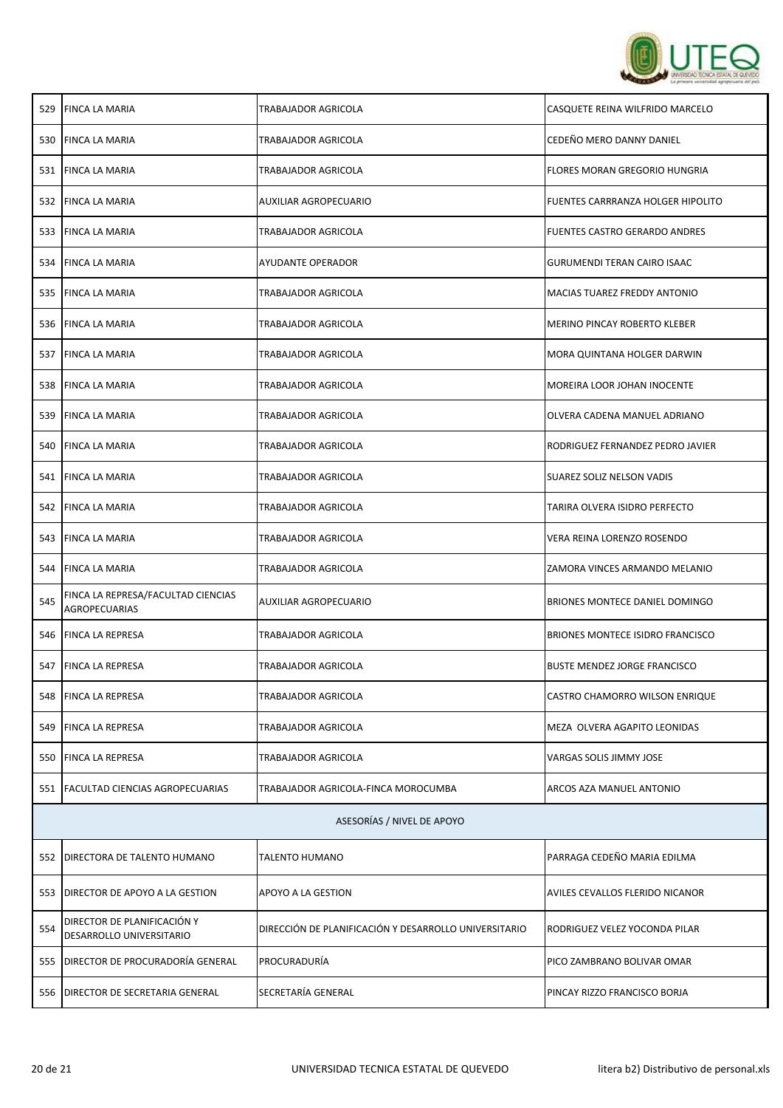

|     | 529 FINCA LA MARIA                                         | TRABAJADOR AGRICOLA                                   | CASQUETE REINA WILFRIDO MARCELO         |  |
|-----|------------------------------------------------------------|-------------------------------------------------------|-----------------------------------------|--|
|     | 530 FINCA LA MARIA                                         | TRABAJADOR AGRICOLA                                   | CEDEÑO MERO DANNY DANIEL                |  |
|     | 531 FINCA LA MARIA                                         | TRABAJADOR AGRICOLA                                   | FLORES MORAN GREGORIO HUNGRIA           |  |
|     | 532 FINCA LA MARIA                                         | AUXILIAR AGROPECUARIO                                 | FUENTES CARRRANZA HOLGER HIPOLITO       |  |
|     | 533 FINCA LA MARIA                                         | TRABAJADOR AGRICOLA                                   | FUENTES CASTRO GERARDO ANDRES           |  |
|     | 534 FINCA LA MARIA                                         | AYUDANTE OPERADOR                                     | <b>GURUMENDI TERAN CAIRO ISAAC</b>      |  |
|     | 535 FINCA LA MARIA                                         | TRABAJADOR AGRICOLA                                   | MACIAS TUAREZ FREDDY ANTONIO            |  |
|     | 536 FINCA LA MARIA                                         | TRABAJADOR AGRICOLA                                   | <b>MERINO PINCAY ROBERTO KLEBER</b>     |  |
|     | 537 FINCA LA MARIA                                         | TRABAJADOR AGRICOLA                                   | MORA QUINTANA HOLGER DARWIN             |  |
|     | 538 FINCA LA MARIA                                         | TRABAJADOR AGRICOLA                                   | MOREIRA LOOR JOHAN INOCENTE             |  |
| 539 | <b>FINCA LA MARIA</b>                                      | TRABAJADOR AGRICOLA                                   | OLVERA CADENA MANUEL ADRIANO            |  |
| 540 | <b>FINCA LA MARIA</b>                                      | TRABAJADOR AGRICOLA                                   | RODRIGUEZ FERNANDEZ PEDRO JAVIER        |  |
|     | 541 FINCA LA MARIA                                         | TRABAJADOR AGRICOLA                                   | SUAREZ SOLIZ NELSON VADIS               |  |
|     | 542 FINCA LA MARIA                                         | TRABAJADOR AGRICOLA                                   | TARIRA OLVERA ISIDRO PERFECTO           |  |
|     | 543 FINCA LA MARIA                                         | TRABAJADOR AGRICOLA                                   | VERA REINA LORENZO ROSENDO              |  |
|     | 544 FINCA LA MARIA                                         | TRABAJADOR AGRICOLA                                   | ZAMORA VINCES ARMANDO MELANIO           |  |
| 545 | FINCA LA REPRESA/FACULTAD CIENCIAS<br><b>AGROPECUARIAS</b> | AUXILIAR AGROPECUARIO                                 | <b>BRIONES MONTECE DANIEL DOMINGO</b>   |  |
|     | 546 FINCA LA REPRESA                                       | TRABAJADOR AGRICOLA                                   | <b>BRIONES MONTECE ISIDRO FRANCISCO</b> |  |
|     | 547   FINCA LA REPRESA                                     | TRABAJADOR AGRICOLA                                   | <b>BUSTE MENDEZ JORGE FRANCISCO</b>     |  |
|     | 548 FINCA LA REPRESA                                       | TRABAJADOR AGRICOLA                                   | CASTRO CHAMORRO WILSON ENRIQUE          |  |
|     | 549 FINCA LA REPRESA                                       | TRABAJADOR AGRICOLA                                   | MEZA OLVERA AGAPITO LEONIDAS            |  |
|     | 550 FINCA LA REPRESA                                       | TRABAJADOR AGRICOLA                                   | VARGAS SOLIS JIMMY JOSE                 |  |
|     | 551   FACULTAD CIENCIAS AGROPECUARIAS                      | TRABAJADOR AGRICOLA-FINCA MOROCUMBA                   | ARCOS AZA MANUEL ANTONIO                |  |
|     | ASESORÍAS / NIVEL DE APOYO                                 |                                                       |                                         |  |
| 552 | DIRECTORA DE TALENTO HUMANO                                | TALENTO HUMANO                                        | PARRAGA CEDEÑO MARIA EDILMA             |  |
|     | 553 DIRECTOR DE APOYO A LA GESTION                         | APOYO A LA GESTION                                    | AVILES CEVALLOS FLERIDO NICANOR         |  |
| 554 | DIRECTOR DE PLANIFICACIÓN Y<br>DESARROLLO UNIVERSITARIO    | DIRECCIÓN DE PLANIFICACIÓN Y DESARROLLO UNIVERSITARIO | RODRIGUEZ VELEZ YOCONDA PILAR           |  |
|     | 555 DIRECTOR DE PROCURADORÍA GENERAL                       | PROCURADURÍA                                          | PICO ZAMBRANO BOLIVAR OMAR              |  |
| 556 | DIRECTOR DE SECRETARIA GENERAL                             | SECRETARÍA GENERAL                                    | PINCAY RIZZO FRANCISCO BORJA            |  |